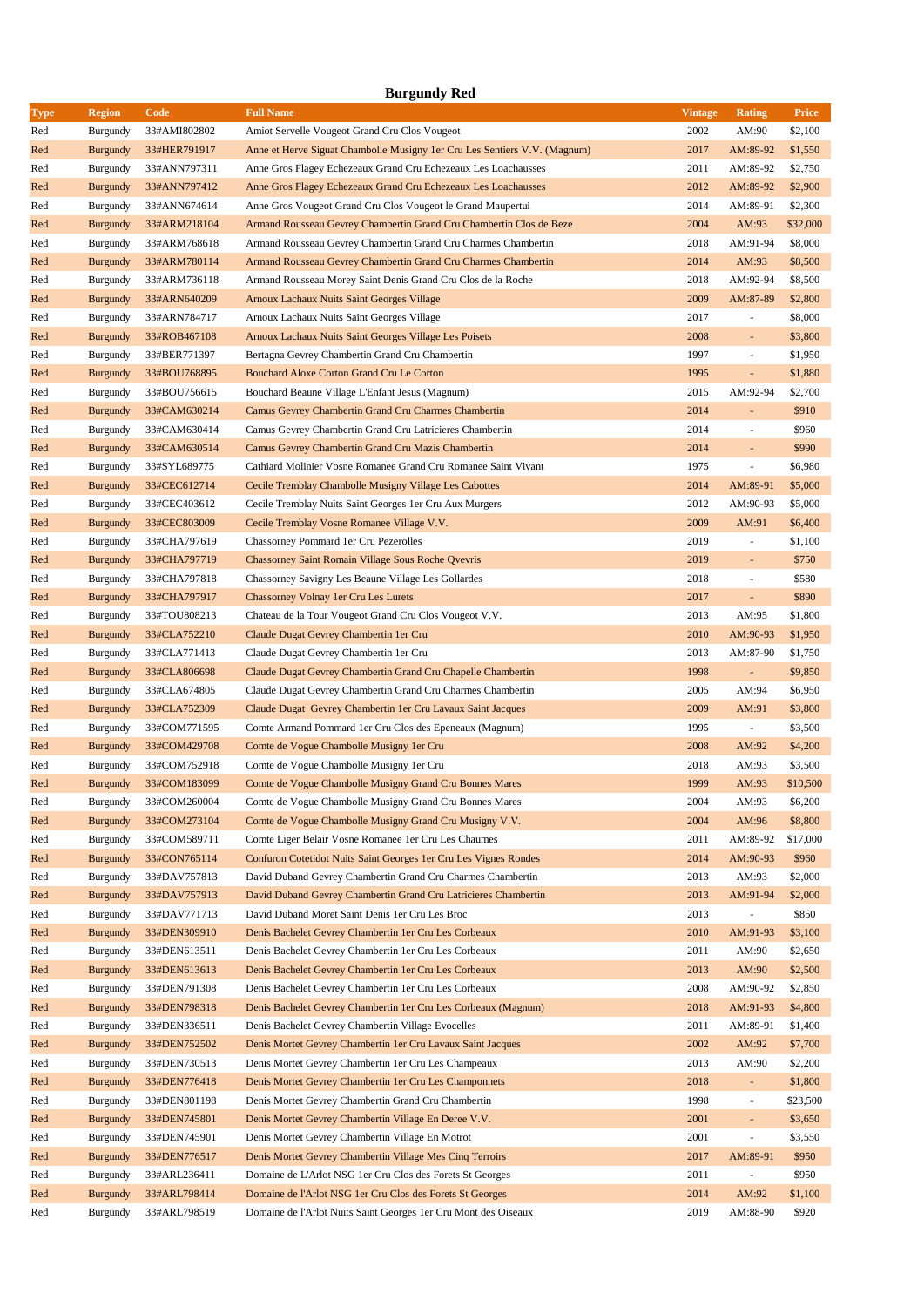|             | <b>Burgundy Red</b> |              |                                                                                   |                |                          |                    |  |  |  |
|-------------|---------------------|--------------|-----------------------------------------------------------------------------------|----------------|--------------------------|--------------------|--|--|--|
| <b>Type</b> | <b>Region</b>       | Code         | <b>Full Name</b>                                                                  | <b>Vintage</b> | Rating                   | <b>Price</b>       |  |  |  |
| Red         | Burgundy            | 33#AMI802802 | Amiot Servelle Vougeot Grand Cru Clos Vougeot                                     | 2002           | AM:90                    | \$2,100            |  |  |  |
| Red         | <b>Burgundy</b>     | 33#HER791917 | Anne et Herve Siguat Chambolle Musigny 1 er Cru Les Sentiers V.V. (Magnum)        | 2017           | AM:89-92                 | \$1,550            |  |  |  |
| Red         | Burgundy            | 33#ANN797311 | Anne Gros Flagey Echezeaux Grand Cru Echezeaux Les Loachausses                    | 2011           | AM:89-92                 | \$2,750            |  |  |  |
| Red         | <b>Burgundy</b>     | 33#ANN797412 | Anne Gros Flagey Echezeaux Grand Cru Echezeaux Les Loachausses                    | 2012           | AM:89-92                 | \$2,900            |  |  |  |
| Red         | Burgundy            | 33#ANN674614 | Anne Gros Vougeot Grand Cru Clos Vougeot le Grand Maupertui                       | 2014           | AM:89-91                 | \$2,300            |  |  |  |
| Red         | <b>Burgundy</b>     | 33#ARM218104 | Armand Rousseau Gevrey Chambertin Grand Cru Chambertin Clos de Beze               | 2004           | AM:93                    | \$32,000           |  |  |  |
| Red         | Burgundy            | 33#ARM768618 | Armand Rousseau Gevrey Chambertin Grand Cru Charmes Chambertin                    | 2018           | AM:91-94                 | \$8,000            |  |  |  |
| Red         | <b>Burgundy</b>     | 33#ARM780114 | Armand Rousseau Gevrey Chambertin Grand Cru Charmes Chambertin                    | 2014           | AM:93                    | \$8,500            |  |  |  |
| Red         | Burgundy            | 33#ARM736118 | Armand Rousseau Morey Saint Denis Grand Cru Clos de la Roche                      | 2018           | AM:92-94                 | \$8,500            |  |  |  |
| Red         | <b>Burgundy</b>     | 33#ARN640209 | <b>Arnoux Lachaux Nuits Saint Georges Village</b>                                 | 2009           | AM:87-89                 | \$2,800            |  |  |  |
| Red         | Burgundy            | 33#ARN784717 | Arnoux Lachaux Nuits Saint Georges Village                                        | 2017           | $\overline{\phantom{a}}$ | \$8,000            |  |  |  |
| Red         | <b>Burgundy</b>     | 33#ROB467108 | Arnoux Lachaux Nuits Saint Georges Village Les Poisets                            | 2008           | $\overline{\phantom{a}}$ | \$3,800            |  |  |  |
| Red         | Burgundy            | 33#BER771397 | Bertagna Gevrey Chambertin Grand Cru Chambertin                                   | 1997           | ÷,                       | \$1,950            |  |  |  |
| Red         | <b>Burgundy</b>     | 33#BOU768895 | Bouchard Aloxe Corton Grand Cru Le Corton                                         | 1995           | ÷,                       | \$1,880            |  |  |  |
| Red         | Burgundy            | 33#BOU756615 | Bouchard Beaune Village L'Enfant Jesus (Magnum)                                   | 2015           | AM:92-94                 | \$2,700            |  |  |  |
| Red         | <b>Burgundy</b>     | 33#CAM630214 | Camus Gevrey Chambertin Grand Cru Charmes Chambertin                              | 2014           | $\overline{\phantom{a}}$ | \$910              |  |  |  |
| Red         | Burgundy            | 33#CAM630414 | Camus Gevrey Chambertin Grand Cru Latricieres Chambertin                          | 2014           | ÷,                       | \$960              |  |  |  |
| Red         | <b>Burgundy</b>     | 33#CAM630514 | Camus Gevrey Chambertin Grand Cru Mazis Chambertin                                | 2014           | $\overline{\phantom{a}}$ | \$990              |  |  |  |
| Red         | Burgundy            | 33#SYL689775 | Cathiard Molinier Vosne Romanee Grand Cru Romanee Saint Vivant                    | 1975           | ÷,                       | \$6,980            |  |  |  |
| Red         | <b>Burgundy</b>     | 33#CEC612714 | Cecile Tremblay Chambolle Musigny Village Les Cabottes                            | 2014           | AM:89-91                 | \$5,000            |  |  |  |
| Red         | Burgundy            | 33#CEC403612 | Cecile Tremblay Nuits Saint Georges 1er Cru Aux Murgers                           | 2012           | AM:90-93                 | \$5,000            |  |  |  |
| Red         | <b>Burgundy</b>     | 33#CEC803009 | Cecile Tremblay Vosne Romanee Village V.V.                                        | 2009           | AM:91                    | \$6,400            |  |  |  |
| Red         | Burgundy            | 33#CHA797619 | Chassorney Pommard 1er Cru Pezerolles                                             | 2019           | ÷,                       | \$1,100            |  |  |  |
| Red         | <b>Burgundy</b>     | 33#CHA797719 | Chassorney Saint Romain Village Sous Roche Qvevris                                | 2019           | $\overline{\phantom{a}}$ | \$750              |  |  |  |
| Red         | Burgundy            | 33#CHA797818 | Chassorney Savigny Les Beaune Village Les Gollardes                               | 2018           | $\overline{\phantom{a}}$ | \$580              |  |  |  |
| Red         | <b>Burgundy</b>     | 33#CHA797917 | Chassorney Volnay 1er Cru Les Lurets                                              | 2017           | ÷,                       | \$890              |  |  |  |
| Red         | Burgundy            | 33#TOU808213 | Chateau de la Tour Vougeot Grand Cru Clos Vougeot V.V.                            | 2013           | AM:95                    | \$1,800            |  |  |  |
| Red         | <b>Burgundy</b>     | 33#CLA752210 |                                                                                   | 2010           | AM:90-93                 | \$1,950            |  |  |  |
| Red         | Burgundy            | 33#CLA771413 | Claude Dugat Gevrey Chambertin 1 er Cru<br>Claude Dugat Gevrey Chambertin 1er Cru | 2013           | AM:87-90                 | \$1,750            |  |  |  |
| Red         | <b>Burgundy</b>     | 33#CLA806698 |                                                                                   | 1998           | $\overline{\phantom{a}}$ | \$9,850            |  |  |  |
| Red         |                     | 33#CLA674805 | Claude Dugat Gevrey Chambertin Grand Cru Chapelle Chambertin                      | 2005           | AM:94                    | \$6,950            |  |  |  |
| Red         | Burgundy            |              | Claude Dugat Gevrey Chambertin Grand Cru Charmes Chambertin                       | 2009           | AM:91                    |                    |  |  |  |
|             | <b>Burgundy</b>     | 33#CLA752309 | Claude Dugat Gevrey Chambertin 1 er Cru Lavaux Saint Jacques                      | 1995           |                          | \$3,800<br>\$3,500 |  |  |  |
| Red         | Burgundy            | 33#COM771595 | Comte Armand Pommard 1er Cru Clos des Epeneaux (Magnum)                           |                | $\overline{\phantom{a}}$ |                    |  |  |  |
| Red         | <b>Burgundy</b>     | 33#COM429708 | Comte de Vogue Chambolle Musigny 1 er Cru                                         | 2008           | AM:92                    | \$4,200            |  |  |  |
| Red         | Burgundy            | 33#COM752918 | Comte de Vogue Chambolle Musigny 1er Cru                                          | 2018           | AM:93                    | \$3,500            |  |  |  |
| Red         | <b>Burgundy</b>     | 33#COM183099 | Comte de Vogue Chambolle Musigny Grand Cru Bonnes Mares                           | 1999           | AM:93                    | \$10,500           |  |  |  |
| Red         | Burgundy            | 33#COM260004 | Comte de Vogue Chambolle Musigny Grand Cru Bonnes Mares                           | 2004           | AM:93                    | \$6,200            |  |  |  |
| Red         | <b>Burgundy</b>     | 33#COM273104 | Comte de Vogue Chambolle Musigny Grand Cru Musigny V.V.                           | 2004           | AM:96                    | \$8,800            |  |  |  |
| Red         | Burgundy            | 33#COM589711 | Comte Liger Belair Vosne Romanee 1 er Cru Les Chaumes                             | 2011           | AM:89-92                 | \$17,000           |  |  |  |
| Red         | <b>Burgundy</b>     | 33#CON765114 | Confuron Cotetidot Nuits Saint Georges 1er Cru Les Vignes Rondes                  | 2014           | AM:90-93                 | \$960              |  |  |  |
| Red         | Burgundy            | 33#DAV757813 | David Duband Gevrey Chambertin Grand Cru Charmes Chambertin                       | 2013           | AM:93                    | \$2,000            |  |  |  |
| Red         | <b>Burgundy</b>     | 33#DAV757913 | David Duband Gevrey Chambertin Grand Cru Latricieres Chambertin                   | 2013           | AM:91-94                 | \$2,000            |  |  |  |
| Red         | Burgundy            | 33#DAV771713 | David Duband Moret Saint Denis 1er Cru Les Broc                                   | 2013           |                          | \$850              |  |  |  |
| Red         | <b>Burgundy</b>     | 33#DEN309910 | Denis Bachelet Gevrey Chambertin 1er Cru Les Corbeaux                             | 2010           | AM:91-93                 | \$3,100            |  |  |  |
| Red         | Burgundy            | 33#DEN613511 | Denis Bachelet Gevrey Chambertin 1er Cru Les Corbeaux                             | 2011           | AM:90                    | \$2,650            |  |  |  |
| Red         | <b>Burgundy</b>     | 33#DEN613613 | Denis Bachelet Gevrey Chambertin 1er Cru Les Corbeaux                             | 2013           | AM:90                    | \$2,500            |  |  |  |
| Red         | Burgundy            | 33#DEN791308 | Denis Bachelet Gevrey Chambertin 1er Cru Les Corbeaux                             | 2008           | AM:90-92                 | \$2,850            |  |  |  |
| Red         | <b>Burgundy</b>     | 33#DEN798318 | Denis Bachelet Gevrey Chambertin 1er Cru Les Corbeaux (Magnum)                    | 2018           | AM:91-93                 | \$4,800            |  |  |  |
| Red         | Burgundy            | 33#DEN336511 | Denis Bachelet Gevrey Chambertin Village Evocelles                                | 2011           | AM:89-91                 | \$1,400            |  |  |  |
| Red         | <b>Burgundy</b>     | 33#DEN752502 | Denis Mortet Gevrey Chambertin 1er Cru Lavaux Saint Jacques                       | 2002           | AM:92                    | \$7,700            |  |  |  |
| Red         | Burgundy            | 33#DEN730513 | Denis Mortet Gevrey Chambertin 1er Cru Les Champeaux                              | 2013           | AM:90                    | \$2,200            |  |  |  |
| Red         | <b>Burgundy</b>     | 33#DEN776418 | Denis Mortet Gevrey Chambertin 1er Cru Les Champonnets                            | 2018           | $\Box$                   | \$1,800            |  |  |  |
| Red         | Burgundy            | 33#DEN801198 | Denis Mortet Gevrey Chambertin Grand Cru Chambertin                               | 1998           | ÷,                       | \$23,500           |  |  |  |
| Red         | <b>Burgundy</b>     | 33#DEN745801 | Denis Mortet Gevrey Chambertin Village En Deree V.V.                              | 2001           | ÷                        | \$3,650            |  |  |  |
| Red         | Burgundy            | 33#DEN745901 | Denis Mortet Gevrey Chambertin Village En Motrot                                  | 2001           |                          | \$3,550            |  |  |  |
| Red         | <b>Burgundy</b>     | 33#DEN776517 | Denis Mortet Gevrey Chambertin Village Mes Cinq Terroirs                          | 2017           | AM:89-91                 | \$950              |  |  |  |
| Red         | Burgundy            | 33#ARL236411 | Domaine de L'Arlot NSG 1 er Cru Clos des Forets St Georges                        | 2011           |                          | \$950              |  |  |  |
| Red         | <b>Burgundy</b>     | 33#ARL798414 | Domaine de l'Arlot NSG 1 er Cru Clos des Forets St Georges                        | 2014           | AM:92                    | \$1,100            |  |  |  |
| Red         | Burgundy            | 33#ARL798519 | Domaine de l'Arlot Nuits Saint Georges 1 er Cru Mont des Oiseaux                  | 2019           | AM:88-90                 | \$920              |  |  |  |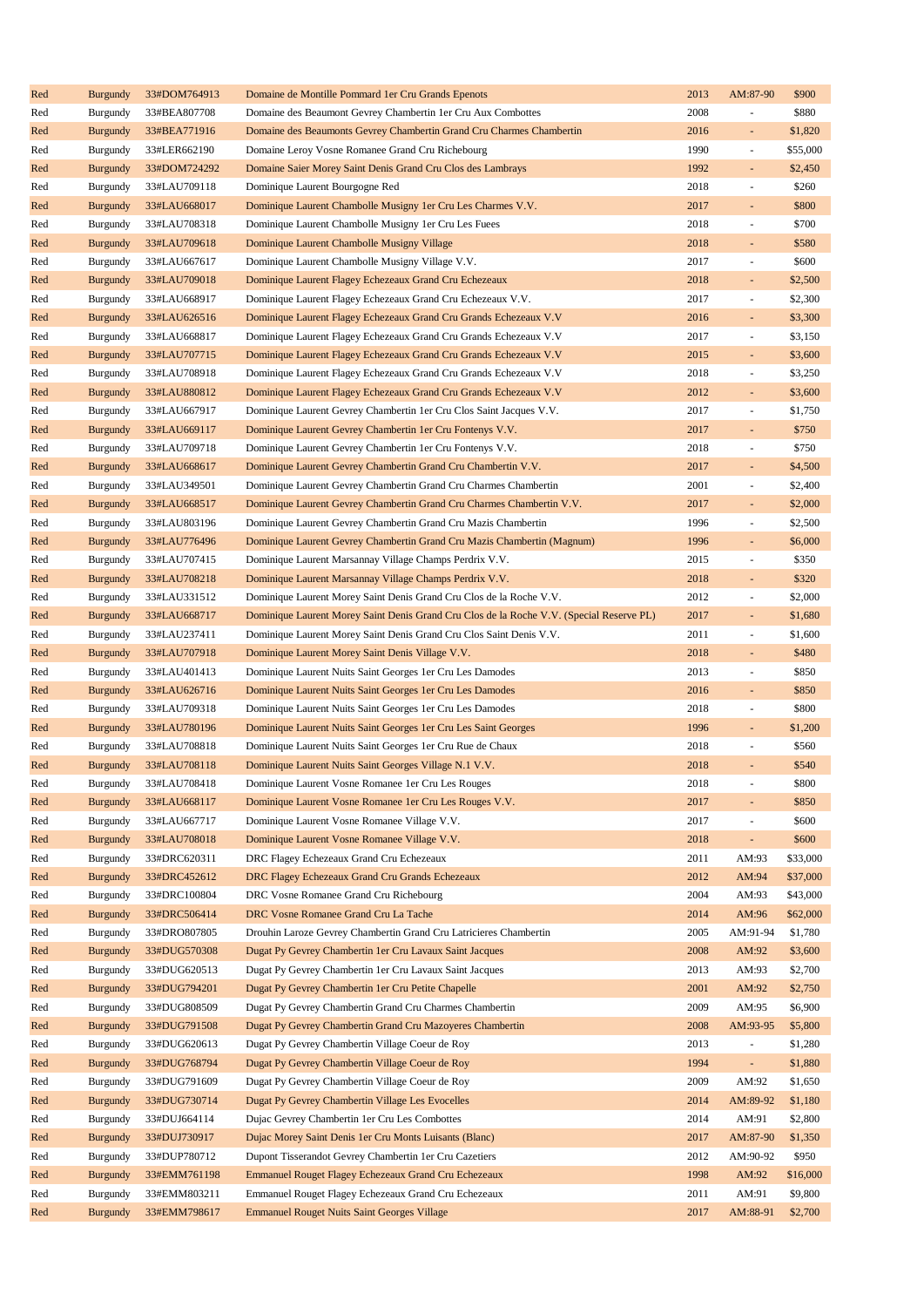| Red | <b>Burgundy</b> | 33#DOM764913 | Domaine de Montille Pommard 1 er Cru Grands Epenots                                      | 2013 | AM:87-90                 | \$900    |
|-----|-----------------|--------------|------------------------------------------------------------------------------------------|------|--------------------------|----------|
| Red | Burgundy        | 33#BEA807708 | Domaine des Beaumont Gevrey Chambertin 1 er Cru Aux Combottes                            | 2008 | ÷,                       | \$880    |
| Red | <b>Burgundy</b> | 33#BEA771916 | Domaine des Beaumonts Gevrey Chambertin Grand Cru Charmes Chambertin                     | 2016 | ÷,                       | \$1,820  |
| Red | Burgundy        | 33#LER662190 | Domaine Leroy Vosne Romanee Grand Cru Richebourg                                         | 1990 | ÷,                       | \$55,000 |
| Red | <b>Burgundy</b> | 33#DOM724292 | Domaine Saier Morey Saint Denis Grand Cru Clos des Lambrays                              | 1992 | ÷                        | \$2,450  |
| Red | Burgundy        | 33#LAU709118 | Dominique Laurent Bourgogne Red                                                          | 2018 | ÷,                       | \$260    |
| Red | <b>Burgundy</b> | 33#LAU668017 | Dominique Laurent Chambolle Musigny 1 er Cru Les Charmes V.V.                            | 2017 | ÷,                       | \$800    |
| Red | Burgundy        | 33#LAU708318 | Dominique Laurent Chambolle Musigny 1 er Cru Les Fuees                                   | 2018 | ÷,                       | \$700    |
| Red | <b>Burgundy</b> | 33#LAU709618 | Dominique Laurent Chambolle Musigny Village                                              | 2018 | ÷,                       | \$580    |
| Red | Burgundy        | 33#LAU667617 | Dominique Laurent Chambolle Musigny Village V.V.                                         | 2017 | ÷,                       | \$600    |
| Red | <b>Burgundy</b> | 33#LAU709018 | Dominique Laurent Flagey Echezeaux Grand Cru Echezeaux                                   | 2018 | ÷                        | \$2,500  |
| Red | Burgundy        | 33#LAU668917 | Dominique Laurent Flagey Echezeaux Grand Cru Echezeaux V.V.                              | 2017 | ÷,                       | \$2,300  |
| Red | <b>Burgundy</b> | 33#LAU626516 | Dominique Laurent Flagey Echezeaux Grand Cru Grands Echezeaux V.V                        | 2016 | ÷,                       | \$3,300  |
| Red | Burgundy        | 33#LAU668817 | Dominique Laurent Flagey Echezeaux Grand Cru Grands Echezeaux V.V                        | 2017 | ÷,                       | \$3,150  |
|     | <b>Burgundy</b> | 33#LAU707715 | Dominique Laurent Flagey Echezeaux Grand Cru Grands Echezeaux V.V                        | 2015 | ÷,                       | \$3,600  |
| Red |                 |              |                                                                                          | 2018 | ÷,                       |          |
| Red | Burgundy        | 33#LAU708918 | Dominique Laurent Flagey Echezeaux Grand Cru Grands Echezeaux V.V                        |      |                          | \$3,250  |
| Red | <b>Burgundy</b> | 33#LAU880812 | Dominique Laurent Flagey Echezeaux Grand Cru Grands Echezeaux V.V                        | 2012 | ÷.                       | \$3,600  |
| Red | Burgundy        | 33#LAU667917 | Dominique Laurent Gevrey Chambertin 1 er Cru Clos Saint Jacques V.V.                     | 2017 | ÷,                       | \$1,750  |
| Red | <b>Burgundy</b> | 33#LAU669117 | Dominique Laurent Gevrey Chambertin 1 er Cru Fontenys V.V.                               | 2017 | ÷,                       | \$750    |
| Red | Burgundy        | 33#LAU709718 | Dominique Laurent Gevrey Chambertin 1er Cru Fontenys V.V.                                | 2018 | ÷,                       | \$750    |
| Red | <b>Burgundy</b> | 33#LAU668617 | Dominique Laurent Gevrey Chambertin Grand Cru Chambertin V.V.                            | 2017 | ÷,                       | \$4,500  |
| Red | Burgundy        | 33#LAU349501 | Dominique Laurent Gevrey Chambertin Grand Cru Charmes Chambertin                         | 2001 | ÷,                       | \$2,400  |
| Red | <b>Burgundy</b> | 33#LAU668517 | Dominique Laurent Gevrey Chambertin Grand Cru Charmes Chambertin V.V.                    | 2017 | ÷,                       | \$2,000  |
| Red | Burgundy        | 33#LAU803196 | Dominique Laurent Gevrey Chambertin Grand Cru Mazis Chambertin                           | 1996 | ÷,                       | \$2,500  |
| Red | <b>Burgundy</b> | 33#LAU776496 | Dominique Laurent Gevrey Chambertin Grand Cru Mazis Chambertin (Magnum)                  | 1996 | ÷,                       | \$6,000  |
| Red | Burgundy        | 33#LAU707415 | Dominique Laurent Marsannay Village Champs Perdrix V.V.                                  | 2015 | ÷,                       | \$350    |
| Red | <b>Burgundy</b> | 33#LAU708218 | Dominique Laurent Marsannay Village Champs Perdrix V.V.                                  | 2018 | ÷,                       | \$320    |
| Red | Burgundy        | 33#LAU331512 | Dominique Laurent Morey Saint Denis Grand Cru Clos de la Roche V.V.                      | 2012 | ÷,                       | \$2,000  |
| Red | <b>Burgundy</b> | 33#LAU668717 | Dominique Laurent Morey Saint Denis Grand Cru Clos de la Roche V.V. (Special Reserve PL) | 2017 | ÷,                       | \$1,680  |
| Red | Burgundy        | 33#LAU237411 | Dominique Laurent Morey Saint Denis Grand Cru Clos Saint Denis V.V.                      | 2011 | ÷,                       | \$1,600  |
| Red | <b>Burgundy</b> | 33#LAU707918 | Dominique Laurent Morey Saint Denis Village V.V.                                         | 2018 | ÷,                       | \$480    |
| Red | Burgundy        | 33#LAU401413 | Dominique Laurent Nuits Saint Georges 1 er Cru Les Damodes                               | 2013 | ÷,                       | \$850    |
| Red | <b>Burgundy</b> | 33#LAU626716 | Dominique Laurent Nuits Saint Georges 1 er Cru Les Damodes                               | 2016 | ÷,                       | \$850    |
| Red | Burgundy        | 33#LAU709318 | Dominique Laurent Nuits Saint Georges 1 er Cru Les Damodes                               | 2018 | ÷,                       | \$800    |
| Red | <b>Burgundy</b> | 33#LAU780196 | Dominique Laurent Nuits Saint Georges 1 er Cru Les Saint Georges                         | 1996 | ÷,                       | \$1,200  |
| Red | Burgundy        | 33#LAU708818 | Dominique Laurent Nuits Saint Georges 1 er Cru Rue de Chaux                              | 2018 | ÷,                       | \$560    |
| Red | <b>Burgundy</b> | 33#LAU708118 | Dominique Laurent Nuits Saint Georges Village N.1 V.V.                                   | 2018 | ÷,                       | \$540    |
| Red | <b>Burgundy</b> | 33#LAU708418 | Dominique Laurent Vosne Romanee 1 er Cru Les Rouges                                      | 2018 |                          | \$800    |
| Red | <b>Burgundy</b> | 33#LAU668117 | Dominique Laurent Vosne Romanee 1 er Cru Les Rouges V.V.                                 | 2017 | ÷.                       | \$850    |
| Red | Burgundy        | 33#LAU667717 | Dominique Laurent Vosne Romanee Village V.V.                                             | 2017 | ÷,                       | \$600    |
| Red | <b>Burgundy</b> | 33#LAU708018 | Dominique Laurent Vosne Romanee Village V.V.                                             | 2018 | ÷.                       | \$600    |
| Red | Burgundy        | 33#DRC620311 | DRC Flagey Echezeaux Grand Cru Echezeaux                                                 | 2011 | AM:93                    | \$33,000 |
|     |                 |              |                                                                                          | 2012 |                          |          |
| Red | <b>Burgundy</b> | 33#DRC452612 | DRC Flagey Echezeaux Grand Cru Grands Echezeaux                                          |      | AM:94                    | \$37,000 |
| Red | Burgundy        | 33#DRC100804 | DRC Vosne Romanee Grand Cru Richebourg                                                   | 2004 | AM:93                    | \$43,000 |
| Red | <b>Burgundy</b> | 33#DRC506414 | DRC Vosne Romanee Grand Cru La Tache                                                     | 2014 | AM:96                    | \$62,000 |
| Red | Burgundy        | 33#DRO807805 | Drouhin Laroze Gevrey Chambertin Grand Cru Latricieres Chambertin                        | 2005 | AM:91-94                 | \$1,780  |
| Red | <b>Burgundy</b> | 33#DUG570308 | Dugat Py Gevrey Chambertin 1 er Cru Lavaux Saint Jacques                                 | 2008 | AM:92                    | \$3,600  |
| Red | Burgundy        | 33#DUG620513 | Dugat Py Gevrey Chambertin 1er Cru Lavaux Saint Jacques                                  | 2013 | AM:93                    | \$2,700  |
| Red | <b>Burgundy</b> | 33#DUG794201 | Dugat Py Gevrey Chambertin 1 er Cru Petite Chapelle                                      | 2001 | AM:92                    | \$2,750  |
| Red | Burgundy        | 33#DUG808509 | Dugat Py Gevrey Chambertin Grand Cru Charmes Chambertin                                  | 2009 | AM:95                    | \$6,900  |
| Red | <b>Burgundy</b> | 33#DUG791508 | Dugat Py Gevrey Chambertin Grand Cru Mazoyeres Chambertin                                | 2008 | AM:93-95                 | \$5,800  |
| Red | Burgundy        | 33#DUG620613 | Dugat Py Gevrey Chambertin Village Coeur de Roy                                          | 2013 | $\overline{\phantom{a}}$ | \$1,280  |
| Red | <b>Burgundy</b> | 33#DUG768794 | Dugat Py Gevrey Chambertin Village Coeur de Roy                                          | 1994 | ÷.                       | \$1,880  |
| Red | Burgundy        | 33#DUG791609 | Dugat Py Gevrey Chambertin Village Coeur de Roy                                          | 2009 | AM:92                    | \$1,650  |
| Red | <b>Burgundy</b> | 33#DUG730714 | Dugat Py Gevrey Chambertin Village Les Evocelles                                         | 2014 | AM:89-92                 | \$1,180  |
| Red | Burgundy        | 33#DUJ664114 | Dujac Gevrey Chambertin 1er Cru Les Combottes                                            | 2014 | AM:91                    | \$2,800  |
| Red | <b>Burgundy</b> | 33#DUJ730917 | Dujac Morey Saint Denis 1 er Cru Monts Luisants (Blanc)                                  | 2017 | AM:87-90                 | \$1,350  |
| Red | Burgundy        | 33#DUP780712 | Dupont Tisserandot Gevrey Chambertin 1er Cru Cazetiers                                   | 2012 | AM:90-92                 | \$950    |
| Red | <b>Burgundy</b> | 33#EMM761198 | Emmanuel Rouget Flagey Echezeaux Grand Cru Echezeaux                                     | 1998 | AM:92                    | \$16,000 |
| Red | Burgundy        | 33#EMM803211 | Emmanuel Rouget Flagey Echezeaux Grand Cru Echezeaux                                     | 2011 | AM:91                    | \$9,800  |
| Red | <b>Burgundy</b> | 33#EMM798617 | <b>Emmanuel Rouget Nuits Saint Georges Village</b>                                       | 2017 | AM:88-91                 | \$2,700  |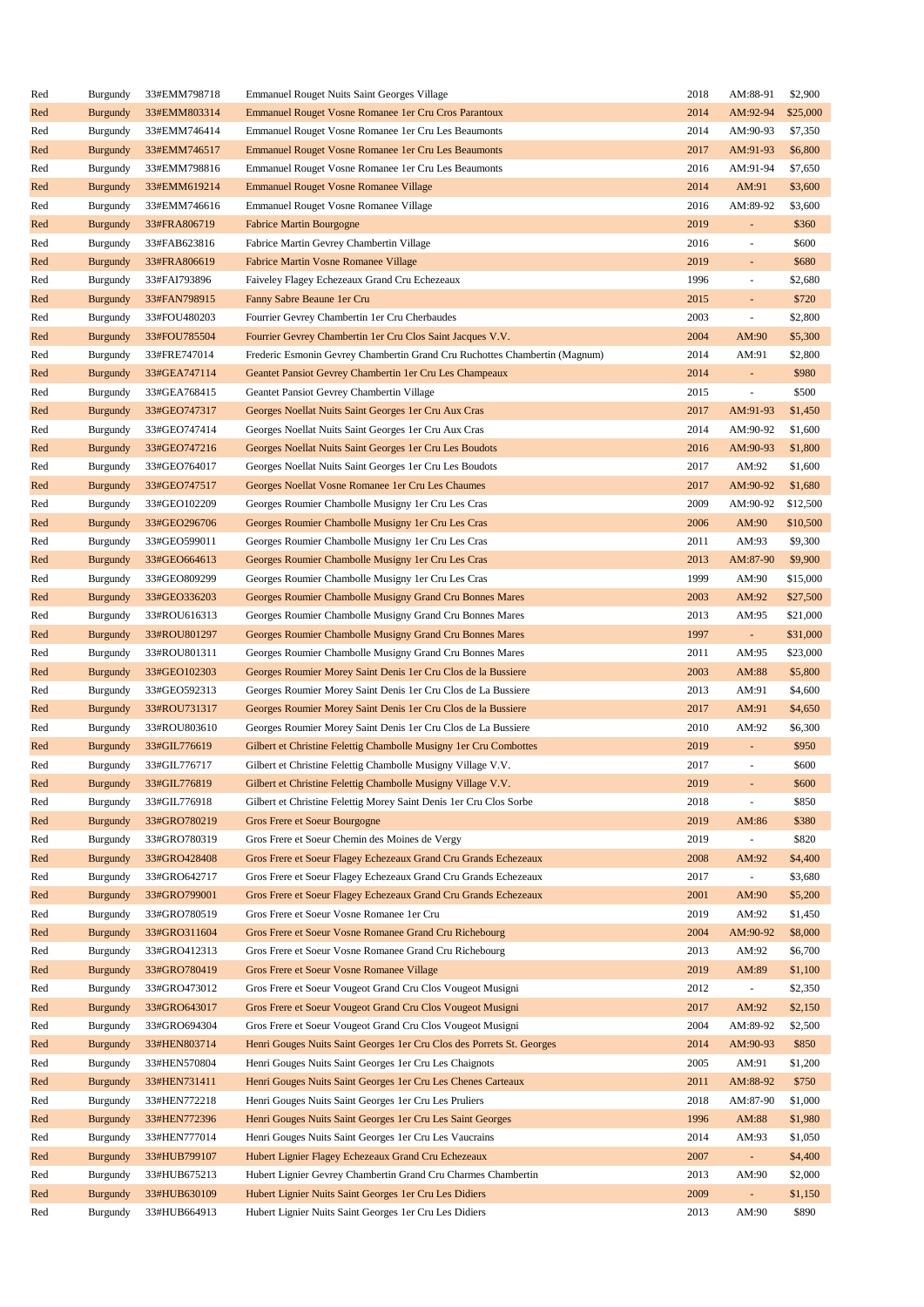| Red | <b>Burgundy</b> | 33#EMM798718 | Emmanuel Rouget Nuits Saint Georges Village                                | 2018 | AM:88-91                 | \$2,900  |
|-----|-----------------|--------------|----------------------------------------------------------------------------|------|--------------------------|----------|
| Red | <b>Burgundy</b> | 33#EMM803314 | Emmanuel Rouget Vosne Romanee 1er Cru Cros Parantoux                       | 2014 | AM:92-94                 | \$25,000 |
| Red | Burgundy        | 33#EMM746414 | Emmanuel Rouget Vosne Romanee 1er Cru Les Beaumonts                        | 2014 | AM:90-93                 | \$7,350  |
| Red | <b>Burgundy</b> | 33#EMM746517 | Emmanuel Rouget Vosne Romanee 1 er Cru Les Beaumonts                       | 2017 | AM:91-93                 | \$6,800  |
| Red | Burgundy        | 33#EMM798816 | Emmanuel Rouget Vosne Romanee 1er Cru Les Beaumonts                        | 2016 | AM:91-94                 | \$7,650  |
| Red | <b>Burgundy</b> | 33#EMM619214 | <b>Emmanuel Rouget Vosne Romanee Village</b>                               | 2014 | AM:91                    | \$3,600  |
| Red | Burgundy        | 33#EMM746616 | Emmanuel Rouget Vosne Romanee Village                                      | 2016 | AM:89-92                 | \$3,600  |
| Red | <b>Burgundy</b> | 33#FRA806719 | <b>Fabrice Martin Bourgogne</b>                                            | 2019 | $\Box$                   | \$360    |
| Red | Burgundy        | 33#FAB623816 | Fabrice Martin Gevrey Chambertin Village                                   | 2016 | $\overline{\phantom{a}}$ | \$600    |
| Red | <b>Burgundy</b> | 33#FRA806619 | Fabrice Martin Vosne Romanee Village                                       | 2019 | $\sim$                   | \$680    |
| Red | Burgundy        | 33#FAI793896 | Faiveley Flagey Echezeaux Grand Cru Echezeaux                              | 1996 | $\overline{\phantom{a}}$ | \$2,680  |
| Red | <b>Burgundy</b> | 33#FAN798915 | Fanny Sabre Beaune 1er Cru                                                 | 2015 | $\omega$                 | \$720    |
| Red | Burgundy        | 33#FOU480203 | Fourrier Gevrey Chambertin 1er Cru Cherbaudes                              | 2003 | $\overline{\phantom{a}}$ | \$2,800  |
|     |                 | 33#FOU785504 |                                                                            | 2004 | AM:90                    | \$5,300  |
| Red | <b>Burgundy</b> |              | Fourrier Gevrey Chambertin 1er Cru Clos Saint Jacques V.V.                 |      |                          |          |
| Red | Burgundy        | 33#FRE747014 | Frederic Esmonin Gevrey Chambertin Grand Cru Ruchottes Chambertin (Magnum) | 2014 | AM:91                    | \$2,800  |
| Red | <b>Burgundy</b> | 33#GEA747114 | Geantet Pansiot Gevrey Chambertin 1 er Cru Les Champeaux                   | 2014 | $\omega$                 | \$980    |
| Red | Burgundy        | 33#GEA768415 | Geantet Pansiot Gevrey Chambertin Village                                  | 2015 | $\overline{\phantom{a}}$ | \$500    |
| Red | <b>Burgundy</b> | 33#GEO747317 | Georges Noellat Nuits Saint Georges 1 er Cru Aux Cras                      | 2017 | AM:91-93                 | \$1,450  |
| Red | Burgundy        | 33#GEO747414 | Georges Noellat Nuits Saint Georges 1 er Cru Aux Cras                      | 2014 | AM:90-92                 | \$1,600  |
| Red | <b>Burgundy</b> | 33#GEO747216 | Georges Noellat Nuits Saint Georges 1 er Cru Les Boudots                   | 2016 | AM:90-93                 | \$1,800  |
| Red | Burgundy        | 33#GEO764017 | Georges Noellat Nuits Saint Georges 1er Cru Les Boudots                    | 2017 | AM:92                    | \$1,600  |
| Red | <b>Burgundy</b> | 33#GEO747517 | Georges Noellat Vosne Romanee 1er Cru Les Chaumes                          | 2017 | AM:90-92                 | \$1,680  |
| Red | Burgundy        | 33#GEO102209 | Georges Roumier Chambolle Musigny 1 er Cru Les Cras                        | 2009 | AM:90-92                 | \$12,500 |
| Red | <b>Burgundy</b> | 33#GEO296706 | Georges Roumier Chambolle Musigny 1 er Cru Les Cras                        | 2006 | AM:90                    | \$10,500 |
| Red | Burgundy        | 33#GEO599011 | Georges Roumier Chambolle Musigny 1 er Cru Les Cras                        | 2011 | AM:93                    | \$9,300  |
| Red | <b>Burgundy</b> | 33#GEO664613 | Georges Roumier Chambolle Musigny 1 er Cru Les Cras                        | 2013 | AM:87-90                 | \$9,900  |
| Red | Burgundy        | 33#GEO809299 | Georges Roumier Chambolle Musigny 1 er Cru Les Cras                        | 1999 | AM:90                    | \$15,000 |
| Red | <b>Burgundy</b> | 33#GEO336203 | Georges Roumier Chambolle Musigny Grand Cru Bonnes Mares                   | 2003 | AM:92                    | \$27,500 |
| Red | Burgundy        | 33#ROU616313 | Georges Roumier Chambolle Musigny Grand Cru Bonnes Mares                   | 2013 | AM:95                    | \$21,000 |
| Red | <b>Burgundy</b> | 33#ROU801297 | Georges Roumier Chambolle Musigny Grand Cru Bonnes Mares                   | 1997 | $\omega$                 | \$31,000 |
| Red | Burgundy        | 33#ROU801311 | Georges Roumier Chambolle Musigny Grand Cru Bonnes Mares                   | 2011 | AM:95                    | \$23,000 |
| Red | <b>Burgundy</b> | 33#GEO102303 | Georges Roumier Morey Saint Denis 1 er Cru Clos de la Bussiere             | 2003 | AM:88                    | \$5,800  |
| Red | Burgundy        | 33#GEO592313 | Georges Roumier Morey Saint Denis 1 er Cru Clos de La Bussiere             | 2013 | AM:91                    | \$4,600  |
| Red | <b>Burgundy</b> | 33#ROU731317 | Georges Roumier Morey Saint Denis 1 er Cru Clos de la Bussiere             | 2017 | AM:91                    | \$4,650  |
| Red | Burgundy        | 33#ROU803610 | Georges Roumier Morey Saint Denis 1er Cru Clos de La Bussiere              | 2010 | AM:92                    | \$6,300  |
| Red | <b>Burgundy</b> | 33#GIL776619 | Gilbert et Christine Felettig Chambolle Musigny 1 er Cru Combottes         | 2019 | ÷,                       | \$950    |
| Red | Burgundy        | 33#GIL776717 | Gilbert et Christine Felettig Chambolle Musigny Village V.V.               | 2017 | ÷,                       | \$600    |
| Red | <b>Burgundy</b> | 33#GIL776819 | Gilbert et Christine Felettig Chambolle Musigny Village V.V.               | 2019 |                          | \$600    |
| Red | Burgundy        | 33#GIL776918 | Gilbert et Christine Felettig Morey Saint Denis 1 er Cru Clos Sorbe        | 2018 | $\sim$                   | \$850    |
| Red | <b>Burgundy</b> | 33#GRO780219 | Gros Frere et Soeur Bourgogne                                              | 2019 | AM:86                    | \$380    |
| Red | Burgundy        | 33#GRO780319 | Gros Frere et Soeur Chemin des Moines de Vergy                             | 2019 |                          | \$820    |
| Red | <b>Burgundy</b> | 33#GRO428408 | Gros Frere et Soeur Flagey Echezeaux Grand Cru Grands Echezeaux            | 2008 | AM:92                    | \$4,400  |
| Red | Burgundy        | 33#GRO642717 | Gros Frere et Soeur Flagey Echezeaux Grand Cru Grands Echezeaux            | 2017 | $\omega$                 | \$3,680  |
|     |                 |              |                                                                            |      |                          |          |
| Red | <b>Burgundy</b> | 33#GRO799001 | Gros Frere et Soeur Flagey Echezeaux Grand Cru Grands Echezeaux            | 2001 | AM:90                    | \$5,200  |
| Red | Burgundy        | 33#GRO780519 | Gros Frere et Soeur Vosne Romanee 1 er Cru                                 | 2019 | AM:92                    | \$1,450  |
| Red | <b>Burgundy</b> | 33#GRO311604 | Gros Frere et Soeur Vosne Romanee Grand Cru Richebourg                     | 2004 | AM:90-92                 | \$8,000  |
| Red | Burgundy        | 33#GRO412313 | Gros Frere et Soeur Vosne Romanee Grand Cru Richebourg                     | 2013 | AM:92                    | \$6,700  |
| Red | <b>Burgundy</b> | 33#GRO780419 | Gros Frere et Soeur Vosne Romanee Village                                  | 2019 | AM:89                    | \$1,100  |
| Red | Burgundy        | 33#GRO473012 | Gros Frere et Soeur Vougeot Grand Cru Clos Vougeot Musigni                 | 2012 | $\overline{\phantom{a}}$ | \$2,350  |
| Red | <b>Burgundy</b> | 33#GRO643017 | Gros Frere et Soeur Vougeot Grand Cru Clos Vougeot Musigni                 | 2017 | AM:92                    | \$2,150  |
| Red | Burgundy        | 33#GRO694304 | Gros Frere et Soeur Vougeot Grand Cru Clos Vougeot Musigni                 | 2004 | AM:89-92                 | \$2,500  |
| Red | <b>Burgundy</b> | 33#HEN803714 | Henri Gouges Nuits Saint Georges 1 er Cru Clos des Porrets St. Georges     | 2014 | AM:90-93                 | \$850    |
| Red | Burgundy        | 33#HEN570804 | Henri Gouges Nuits Saint Georges 1 er Cru Les Chaignots                    | 2005 | AM:91                    | \$1,200  |
| Red | <b>Burgundy</b> | 33#HEN731411 | Henri Gouges Nuits Saint Georges 1 er Cru Les Chenes Carteaux              | 2011 | AM:88-92                 | \$750    |
| Red | Burgundy        | 33#HEN772218 | Henri Gouges Nuits Saint Georges 1er Cru Les Pruliers                      | 2018 | AM:87-90                 | \$1,000  |
| Red | <b>Burgundy</b> | 33#HEN772396 | Henri Gouges Nuits Saint Georges 1 er Cru Les Saint Georges                | 1996 | AM:88                    | \$1,980  |
| Red | Burgundy        | 33#HEN777014 | Henri Gouges Nuits Saint Georges 1 er Cru Les Vaucrains                    | 2014 | AM:93                    | \$1,050  |
| Red | <b>Burgundy</b> | 33#HUB799107 | Hubert Lignier Flagey Echezeaux Grand Cru Echezeaux                        | 2007 | $\omega$                 | \$4,400  |
| Red | Burgundy        | 33#HUB675213 | Hubert Lignier Gevrey Chambertin Grand Cru Charmes Chambertin              | 2013 | AM:90                    | \$2,000  |
| Red | <b>Burgundy</b> | 33#HUB630109 | Hubert Lignier Nuits Saint Georges 1 er Cru Les Didiers                    | 2009 |                          | \$1,150  |
| Red | Burgundy        | 33#HUB664913 | Hubert Lignier Nuits Saint Georges 1 er Cru Les Didiers                    | 2013 | AM:90                    | \$890    |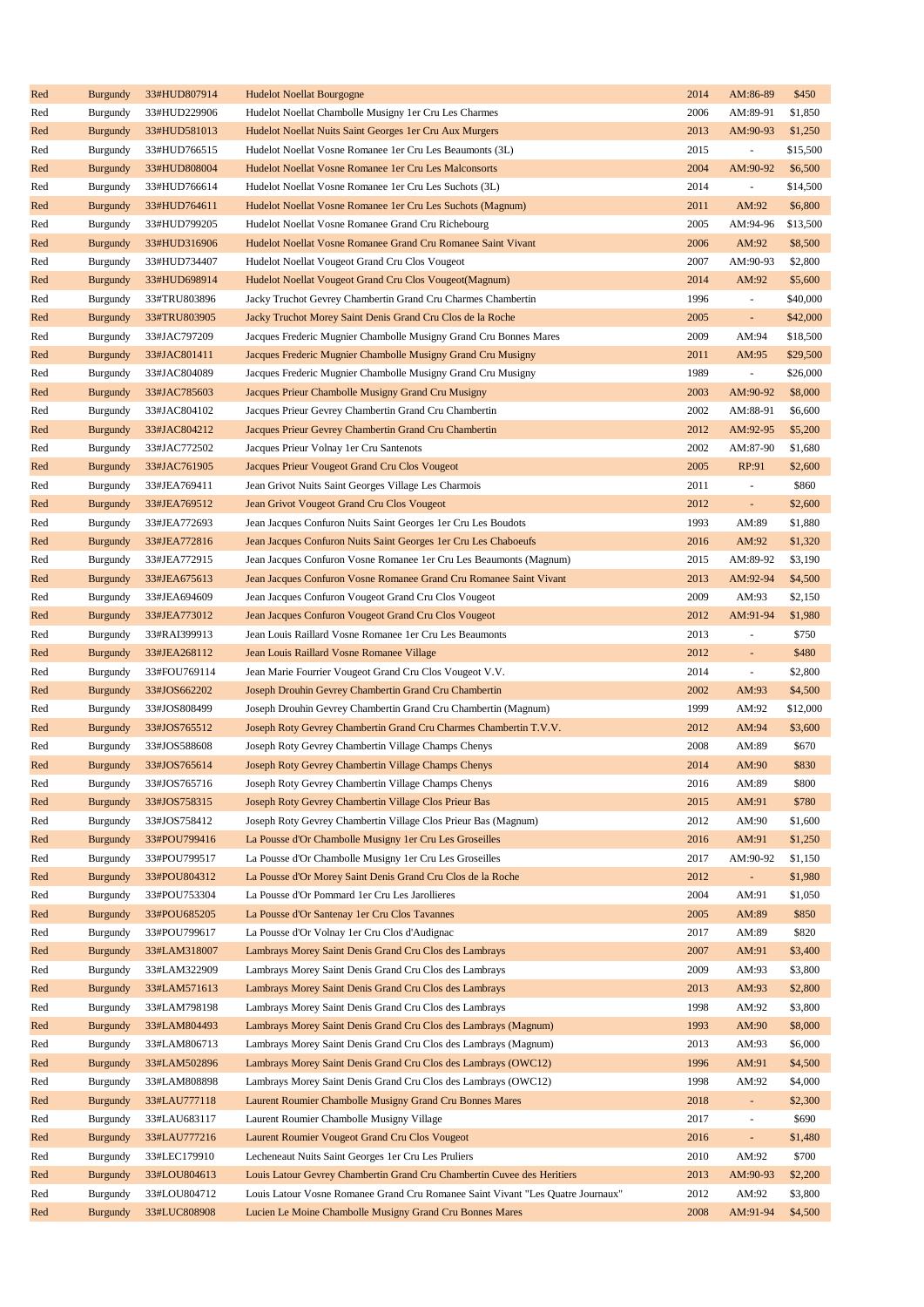| Red | <b>Burgundy</b> | 33#HUD807914 | <b>Hudelot Noellat Bourgogne</b>                                                | 2014 | AM:86-89       | \$450    |
|-----|-----------------|--------------|---------------------------------------------------------------------------------|------|----------------|----------|
| Red | Burgundy        | 33#HUD229906 | Hudelot Noellat Chambolle Musigny 1 er Cru Les Charmes                          | 2006 | AM:89-91       | \$1,850  |
| Red | <b>Burgundy</b> | 33#HUD581013 | Hudelot Noellat Nuits Saint Georges 1 er Cru Aux Murgers                        | 2013 | AM:90-93       | \$1,250  |
| Red | Burgundy        | 33#HUD766515 | Hudelot Noellat Vosne Romanee 1 er Cru Les Beaumonts (3L)                       | 2015 | ÷              | \$15,500 |
| Red | <b>Burgundy</b> | 33#HUD808004 | Hudelot Noellat Vosne Romanee 1 er Cru Les Malconsorts                          | 2004 | AM:90-92       | \$6,500  |
| Red | Burgundy        | 33#HUD766614 | Hudelot Noellat Vosne Romanee 1 er Cru Les Suchots (3L)                         | 2014 | ÷,             | \$14,500 |
| Red | <b>Burgundy</b> | 33#HUD764611 | Hudelot Noellat Vosne Romanee 1 er Cru Les Suchots (Magnum)                     | 2011 | AM:92          | \$6,800  |
| Red | Burgundy        | 33#HUD799205 | Hudelot Noellat Vosne Romanee Grand Cru Richebourg                              | 2005 | AM:94-96       | \$13,500 |
| Red | <b>Burgundy</b> | 33#HUD316906 | Hudelot Noellat Vosne Romanee Grand Cru Romanee Saint Vivant                    | 2006 | AM:92          | \$8,500  |
| Red | Burgundy        | 33#HUD734407 | Hudelot Noellat Vougeot Grand Cru Clos Vougeot                                  | 2007 | AM:90-93       | \$2,800  |
|     |                 |              |                                                                                 | 2014 |                |          |
| Red | <b>Burgundy</b> | 33#HUD698914 | Hudelot Noellat Vougeot Grand Cru Clos Vougeot (Magnum)                         |      | AM:92          | \$5,600  |
| Red | Burgundy        | 33#TRU803896 | Jacky Truchot Gevrey Chambertin Grand Cru Charmes Chambertin                    | 1996 | ÷,             | \$40,000 |
| Red | <b>Burgundy</b> | 33#TRU803905 | Jacky Truchot Morey Saint Denis Grand Cru Clos de la Roche                      | 2005 | ÷,             | \$42,000 |
| Red | Burgundy        | 33#JAC797209 | Jacques Frederic Mugnier Chambolle Musigny Grand Cru Bonnes Mares               | 2009 | AM:94          | \$18,500 |
| Red | <b>Burgundy</b> | 33#JAC801411 | Jacques Frederic Mugnier Chambolle Musigny Grand Cru Musigny                    | 2011 | AM:95          | \$29,500 |
| Red | Burgundy        | 33#JAC804089 | Jacques Frederic Mugnier Chambolle Musigny Grand Cru Musigny                    | 1989 | ÷,             | \$26,000 |
| Red | <b>Burgundy</b> | 33#JAC785603 | Jacques Prieur Chambolle Musigny Grand Cru Musigny                              | 2003 | AM:90-92       | \$8,000  |
| Red | Burgundy        | 33#JAC804102 | Jacques Prieur Gevrey Chambertin Grand Cru Chambertin                           | 2002 | AM:88-91       | \$6,600  |
| Red | <b>Burgundy</b> | 33#JAC804212 | Jacques Prieur Gevrey Chambertin Grand Cru Chambertin                           | 2012 | AM:92-95       | \$5,200  |
| Red | Burgundy        | 33#JAC772502 | Jacques Prieur Volnay 1 er Cru Santenots                                        | 2002 | AM:87-90       | \$1,680  |
| Red | <b>Burgundy</b> | 33#JAC761905 | Jacques Prieur Vougeot Grand Cru Clos Vougeot                                   | 2005 | RP:91          | \$2,600  |
| Red | Burgundy        | 33#JEA769411 | Jean Grivot Nuits Saint Georges Village Les Charmois                            | 2011 | ÷,             | \$860    |
| Red | <b>Burgundy</b> | 33#JEA769512 | Jean Grivot Vougeot Grand Cru Clos Vougeot                                      | 2012 | ÷,             | \$2,600  |
| Red | Burgundy        | 33#JEA772693 | Jean Jacques Confuron Nuits Saint Georges 1 er Cru Les Boudots                  | 1993 | AM:89          | \$1,880  |
| Red | <b>Burgundy</b> | 33#JEA772816 | Jean Jacques Confuron Nuits Saint Georges 1 er Cru Les Chaboeufs                | 2016 | AM:92          | \$1,320  |
| Red | Burgundy        | 33#JEA772915 | Jean Jacques Confuron Vosne Romanee 1 er Cru Les Beaumonts (Magnum)             | 2015 | AM:89-92       | \$3,190  |
| Red | <b>Burgundy</b> | 33#JEA675613 | Jean Jacques Confuron Vosne Romanee Grand Cru Romanee Saint Vivant              | 2013 | AM:92-94       | \$4,500  |
| Red | Burgundy        | 33#JEA694609 | Jean Jacques Confuron Vougeot Grand Cru Clos Vougeot                            | 2009 | AM:93          | \$2,150  |
| Red | <b>Burgundy</b> | 33#JEA773012 | Jean Jacques Confuron Vougeot Grand Cru Clos Vougeot                            | 2012 | AM:91-94       | \$1,980  |
| Red | Burgundy        | 33#RAI399913 | Jean Louis Raillard Vosne Romanee 1 er Cru Les Beaumonts                        | 2013 | ÷,             | \$750    |
|     |                 |              |                                                                                 | 2012 | ÷,             |          |
| Red | <b>Burgundy</b> | 33#JEA268112 | Jean Louis Raillard Vosne Romanee Village                                       |      |                | \$480    |
| Red | Burgundy        | 33#FOU769114 | Jean Marie Fourrier Vougeot Grand Cru Clos Vougeot V.V.                         | 2014 | $\blacksquare$ | \$2,800  |
| Red | <b>Burgundy</b> | 33#JOS662202 | Joseph Drouhin Gevrey Chambertin Grand Cru Chambertin                           | 2002 | AM:93          | \$4,500  |
| Red | Burgundy        | 33#JOS808499 | Joseph Drouhin Gevrey Chambertin Grand Cru Chambertin (Magnum)                  | 1999 | AM:92          | \$12,000 |
| Red | <b>Burgundy</b> | 33#JOS765512 | Joseph Roty Gevrey Chambertin Grand Cru Charmes Chambertin T.V.V.               | 2012 | AM:94          | \$3,600  |
| Red | Burgundy        | 33#JOS588608 | Joseph Roty Gevrey Chambertin Village Champs Chenys                             | 2008 | AM:89          | \$670    |
| Red | <b>Burgundy</b> | 33#JOS765614 | Joseph Roty Gevrey Chambertin Village Champs Chenys                             | 2014 | AM:90          | \$830    |
| Red | Burgundy        | 33#JOS765716 | Joseph Roty Gevrey Chambertin Village Champs Chenys                             | 2016 | AM:89          | \$800    |
| Red | <b>Burgundy</b> | 33#JOS758315 | Joseph Roty Gevrey Chambertin Village Clos Prieur Bas                           | 2015 | AM:91          | \$780    |
| Red | Burgundy        | 33#JOS758412 | Joseph Roty Gevrey Chambertin Village Clos Prieur Bas (Magnum)                  | 2012 | AM:90          | \$1,600  |
| Red | <b>Burgundy</b> | 33#POU799416 | La Pousse d'Or Chambolle Musigny 1er Cru Les Groseilles                         | 2016 | AM:91          | \$1,250  |
| Red | Burgundy        | 33#POU799517 | La Pousse d'Or Chambolle Musigny 1 er Cru Les Groseilles                        | 2017 | AM:90-92       | \$1,150  |
| Red | <b>Burgundy</b> | 33#POU804312 | La Pousse d'Or Morey Saint Denis Grand Cru Clos de la Roche                     | 2012 | ÷.             | \$1,980  |
| Red | Burgundy        | 33#POU753304 | La Pousse d'Or Pommard 1 er Cru Les Jarollieres                                 | 2004 | AM:91          | \$1,050  |
| Red | <b>Burgundy</b> | 33#POU685205 | La Pousse d'Or Santenay 1 er Cru Clos Tavannes                                  | 2005 | AM:89          | \$850    |
| Red | Burgundy        | 33#POU799617 | La Pousse d'Or Volnay 1 er Cru Clos d'Audignac                                  | 2017 | AM:89          | \$820    |
| Red | <b>Burgundy</b> | 33#LAM318007 | Lambrays Morey Saint Denis Grand Cru Clos des Lambrays                          | 2007 | AM:91          | \$3,400  |
| Red | Burgundy        | 33#LAM322909 | Lambrays Morey Saint Denis Grand Cru Clos des Lambrays                          | 2009 | AM:93          | \$3,800  |
| Red | <b>Burgundy</b> | 33#LAM571613 | Lambrays Morey Saint Denis Grand Cru Clos des Lambrays                          | 2013 | AM:93          | \$2,800  |
| Red | Burgundy        | 33#LAM798198 | Lambrays Morey Saint Denis Grand Cru Clos des Lambrays                          | 1998 | AM:92          | \$3,800  |
|     |                 |              |                                                                                 | 1993 |                |          |
| Red | <b>Burgundy</b> | 33#LAM804493 | Lambrays Morey Saint Denis Grand Cru Clos des Lambrays (Magnum)                 |      | AM:90          | \$8,000  |
| Red | Burgundy        | 33#LAM806713 | Lambrays Morey Saint Denis Grand Cru Clos des Lambrays (Magnum)                 | 2013 | AM:93          | \$6,000  |
| Red | <b>Burgundy</b> | 33#LAM502896 | Lambrays Morey Saint Denis Grand Cru Clos des Lambrays (OWC12)                  | 1996 | AM:91          | \$4,500  |
| Red | Burgundy        | 33#LAM808898 | Lambrays Morey Saint Denis Grand Cru Clos des Lambrays (OWC12)                  | 1998 | AM:92          | \$4,000  |
| Red | <b>Burgundy</b> | 33#LAU777118 | Laurent Roumier Chambolle Musigny Grand Cru Bonnes Mares                        | 2018 | ÷.             | \$2,300  |
| Red | Burgundy        | 33#LAU683117 | Laurent Roumier Chambolle Musigny Village                                       | 2017 | ÷,             | \$690    |
| Red | <b>Burgundy</b> | 33#LAU777216 | Laurent Roumier Vougeot Grand Cru Clos Vougeot                                  | 2016 | ÷,             | \$1,480  |
| Red | Burgundy        | 33#LEC179910 | Lecheneaut Nuits Saint Georges 1er Cru Les Pruliers                             | 2010 | AM:92          | \$700    |
| Red | <b>Burgundy</b> | 33#LOU804613 | Louis Latour Gevrey Chambertin Grand Cru Chambertin Cuvee des Heritiers         | 2013 | AM:90-93       | \$2,200  |
| Red | Burgundy        | 33#LOU804712 | Louis Latour Vosne Romanee Grand Cru Romanee Saint Vivant "Les Quatre Journaux" | 2012 | AM:92          | \$3,800  |
| Red | <b>Burgundy</b> | 33#LUC808908 | Lucien Le Moine Chambolle Musigny Grand Cru Bonnes Mares                        | 2008 | AM:91-94       | \$4,500  |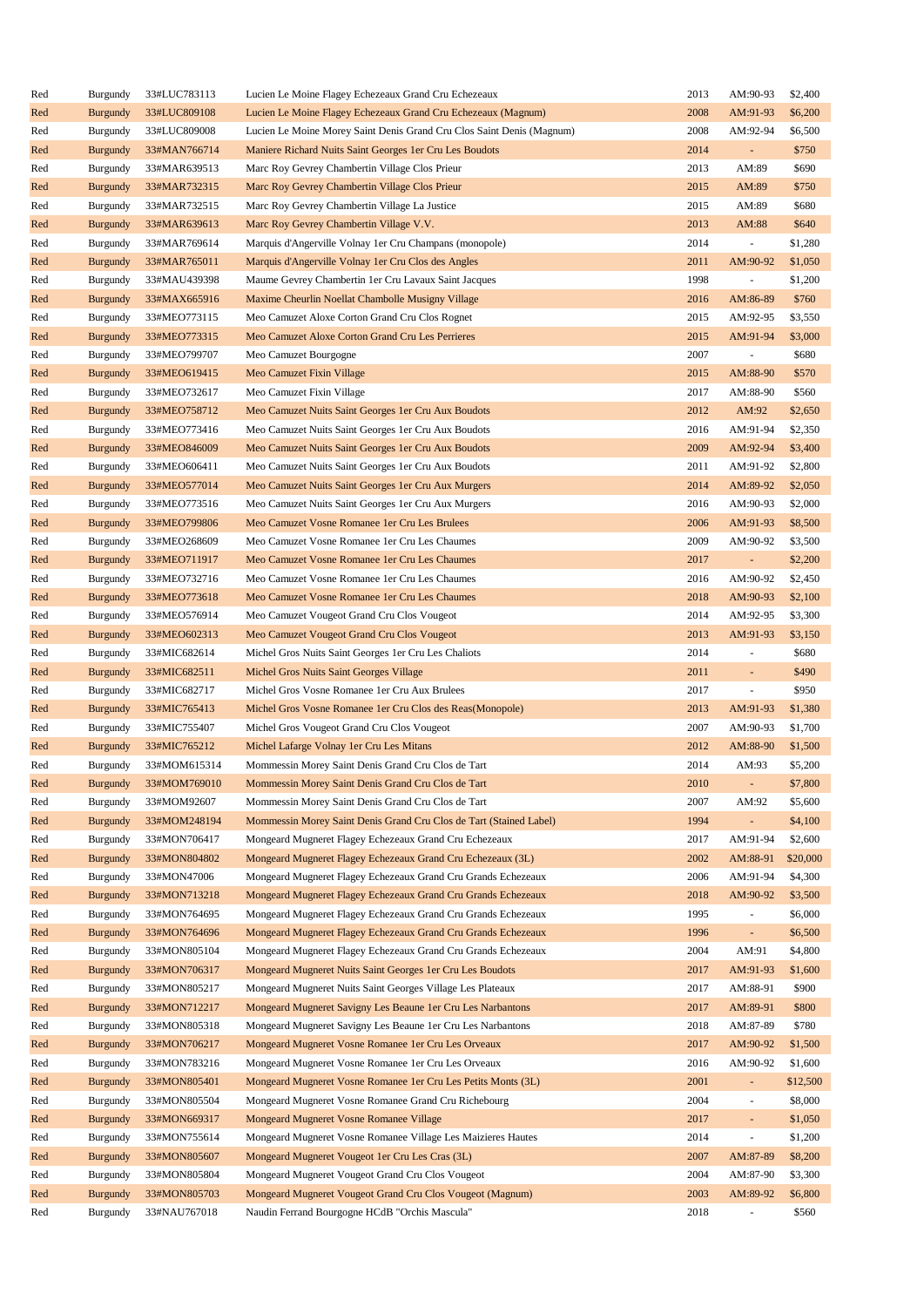| Red | Burgundy        | 33#LUC783113 | Lucien Le Moine Flagey Echezeaux Grand Cru Echezeaux                  | 2013 | AM:90-93 | \$2,400  |
|-----|-----------------|--------------|-----------------------------------------------------------------------|------|----------|----------|
| Red | <b>Burgundy</b> | 33#LUC809108 | Lucien Le Moine Flagey Echezeaux Grand Cru Echezeaux (Magnum)         | 2008 | AM:91-93 | \$6,200  |
| Red | Burgundy        | 33#LUC809008 | Lucien Le Moine Morey Saint Denis Grand Cru Clos Saint Denis (Magnum) | 2008 | AM:92-94 | \$6,500  |
| Red | <b>Burgundy</b> | 33#MAN766714 | Maniere Richard Nuits Saint Georges 1er Cru Les Boudots               | 2014 | ÷.       | \$750    |
| Red | Burgundy        | 33#MAR639513 | Marc Roy Gevrey Chambertin Village Clos Prieur                        | 2013 | AM:89    | \$690    |
| Red | <b>Burgundy</b> | 33#MAR732315 | Marc Roy Gevrey Chambertin Village Clos Prieur                        | 2015 | AM:89    | \$750    |
| Red | Burgundy        | 33#MAR732515 | Marc Roy Gevrey Chambertin Village La Justice                         | 2015 | AM:89    | \$680    |
| Red | <b>Burgundy</b> | 33#MAR639613 | Marc Roy Gevrey Chambertin Village V.V.                               | 2013 | AM:88    | \$640    |
| Red | Burgundy        | 33#MAR769614 | Marquis d'Angerville Volnay 1 er Cru Champans (monopole)              | 2014 | ÷,       | \$1,280  |
| Red | <b>Burgundy</b> | 33#MAR765011 | Marquis d'Angerville Volnay 1 er Cru Clos des Angles                  | 2011 | AM:90-92 | \$1,050  |
| Red | Burgundy        | 33#MAU439398 | Maume Gevrey Chambertin 1er Cru Lavaux Saint Jacques                  | 1998 | ÷,       | \$1,200  |
|     |                 |              |                                                                       |      |          |          |
| Red | <b>Burgundy</b> | 33#MAX665916 | Maxime Cheurlin Noellat Chambolle Musigny Village                     | 2016 | AM:86-89 | \$760    |
| Red | Burgundy        | 33#MEO773115 | Meo Camuzet Aloxe Corton Grand Cru Clos Rognet                        | 2015 | AM:92-95 | \$3,550  |
| Red | <b>Burgundy</b> | 33#MEO773315 | Meo Camuzet Aloxe Corton Grand Cru Les Perrieres                      | 2015 | AM:91-94 | \$3,000  |
| Red | Burgundy        | 33#MEO799707 | Meo Camuzet Bourgogne                                                 | 2007 | ÷,       | \$680    |
| Red | <b>Burgundy</b> | 33#MEO619415 | Meo Camuzet Fixin Village                                             | 2015 | AM:88-90 | \$570    |
| Red | Burgundy        | 33#MEO732617 | Meo Camuzet Fixin Village                                             | 2017 | AM:88-90 | \$560    |
| Red | <b>Burgundy</b> | 33#MEO758712 | Meo Camuzet Nuits Saint Georges 1 er Cru Aux Boudots                  | 2012 | AM:92    | \$2,650  |
| Red | Burgundy        | 33#MEO773416 | Meo Camuzet Nuits Saint Georges 1 er Cru Aux Boudots                  | 2016 | AM:91-94 | \$2,350  |
| Red | <b>Burgundy</b> | 33#MEO846009 | Meo Camuzet Nuits Saint Georges 1 er Cru Aux Boudots                  | 2009 | AM:92-94 | \$3,400  |
| Red | Burgundy        | 33#MEO606411 | Meo Camuzet Nuits Saint Georges 1 er Cru Aux Boudots                  | 2011 | AM:91-92 | \$2,800  |
| Red | <b>Burgundy</b> | 33#MEO577014 | Meo Camuzet Nuits Saint Georges 1er Cru Aux Murgers                   | 2014 | AM:89-92 | \$2,050  |
| Red | Burgundy        | 33#MEO773516 | Meo Camuzet Nuits Saint Georges 1 er Cru Aux Murgers                  | 2016 | AM:90-93 | \$2,000  |
| Red | <b>Burgundy</b> | 33#MEO799806 | Meo Camuzet Vosne Romanee 1 er Cru Les Brulees                        | 2006 | AM:91-93 | \$8,500  |
| Red | Burgundy        | 33#MEO268609 | Meo Camuzet Vosne Romanee 1 er Cru Les Chaumes                        | 2009 | AM:90-92 | \$3,500  |
| Red | <b>Burgundy</b> | 33#MEO711917 | Meo Camuzet Vosne Romanee 1 er Cru Les Chaumes                        | 2017 | ÷.       | \$2,200  |
| Red | Burgundy        | 33#MEO732716 | Meo Camuzet Vosne Romanee 1 er Cru Les Chaumes                        | 2016 | AM:90-92 | \$2,450  |
| Red | <b>Burgundy</b> | 33#MEO773618 | Meo Camuzet Vosne Romanee 1 er Cru Les Chaumes                        | 2018 | AM:90-93 | \$2,100  |
| Red | Burgundy        | 33#MEO576914 | Meo Camuzet Vougeot Grand Cru Clos Vougeot                            | 2014 | AM:92-95 | \$3,300  |
| Red | <b>Burgundy</b> | 33#MEO602313 | Meo Camuzet Vougeot Grand Cru Clos Vougeot                            | 2013 | AM:91-93 | \$3,150  |
| Red | Burgundy        | 33#MIC682614 | Michel Gros Nuits Saint Georges 1er Cru Les Chaliots                  | 2014 | ÷,       | \$680    |
| Red | <b>Burgundy</b> | 33#MIC682511 | Michel Gros Nuits Saint Georges Village                               | 2011 | ÷,       | \$490    |
| Red | Burgundy        | 33#MIC682717 | Michel Gros Vosne Romanee 1er Cru Aux Brulees                         | 2017 | ÷,       | \$950    |
| Red | <b>Burgundy</b> | 33#MIC765413 | Michel Gros Vosne Romanee 1 er Cru Clos des Reas(Monopole)            | 2013 | AM:91-93 | \$1,380  |
|     |                 | 33#MIC755407 |                                                                       | 2007 | AM:90-93 | \$1,700  |
| Red | Burgundy        |              | Michel Gros Vougeot Grand Cru Clos Vougeot                            |      |          |          |
| Red | <b>Burgundy</b> | 33#MIC765212 | Michel Lafarge Volnay 1er Cru Les Mitans                              | 2012 | AM:88-90 | \$1,500  |
| Red | Burgundy        | 33#MOM615314 | Mommessin Morey Saint Denis Grand Cru Clos de Tart                    | 2014 | AM:93    | \$5,200  |
| Red | <b>Burgundy</b> | 33#MOM769010 | Mommessin Morey Saint Denis Grand Cru Clos de Tart                    | 2010 |          | \$7,800  |
| Red | Burgundy        | 33#MOM92607  | Mommessin Morey Saint Denis Grand Cru Clos de Tart                    | 2007 | AM:92    | \$5,600  |
| Red | <b>Burgundy</b> | 33#MOM248194 | Mommessin Morey Saint Denis Grand Cru Clos de Tart (Stained Label)    | 1994 | L.       | \$4,100  |
| Red | Burgundy        | 33#MON706417 | Mongeard Mugneret Flagey Echezeaux Grand Cru Echezeaux                | 2017 | AM:91-94 | \$2,600  |
| Red | <b>Burgundy</b> | 33#MON804802 | Mongeard Mugneret Flagey Echezeaux Grand Cru Echezeaux (3L)           | 2002 | AM:88-91 | \$20,000 |
| Red | Burgundy        | 33#MON47006  | Mongeard Mugneret Flagey Echezeaux Grand Cru Grands Echezeaux         | 2006 | AM:91-94 | \$4,300  |
| Red | <b>Burgundy</b> | 33#MON713218 | Mongeard Mugneret Flagey Echezeaux Grand Cru Grands Echezeaux         | 2018 | AM:90-92 | \$3,500  |
| Red | Burgundy        | 33#MON764695 | Mongeard Mugneret Flagey Echezeaux Grand Cru Grands Echezeaux         | 1995 | ÷,       | \$6,000  |
| Red | <b>Burgundy</b> | 33#MON764696 | Mongeard Mugneret Flagey Echezeaux Grand Cru Grands Echezeaux         | 1996 | ÷,       | \$6,500  |
| Red | Burgundy        | 33#MON805104 | Mongeard Mugneret Flagey Echezeaux Grand Cru Grands Echezeaux         | 2004 | AM:91    | \$4,800  |
| Red | <b>Burgundy</b> | 33#MON706317 | Mongeard Mugneret Nuits Saint Georges 1 er Cru Les Boudots            | 2017 | AM:91-93 | \$1,600  |
| Red | Burgundy        | 33#MON805217 | Mongeard Mugneret Nuits Saint Georges Village Les Plateaux            | 2017 | AM:88-91 | \$900    |
| Red | <b>Burgundy</b> | 33#MON712217 | Mongeard Mugneret Savigny Les Beaune 1 er Cru Les Narbantons          | 2017 | AM:89-91 | \$800    |
| Red | Burgundy        | 33#MON805318 | Mongeard Mugneret Savigny Les Beaune 1 er Cru Les Narbantons          | 2018 | AM:87-89 | \$780    |
| Red | <b>Burgundy</b> | 33#MON706217 | Mongeard Mugneret Vosne Romanee 1 er Cru Les Orveaux                  | 2017 | AM:90-92 | \$1,500  |
| Red | Burgundy        | 33#MON783216 | Mongeard Mugneret Vosne Romanee 1 er Cru Les Orveaux                  | 2016 | AM:90-92 | \$1,600  |
| Red | <b>Burgundy</b> | 33#MON805401 | Mongeard Mugneret Vosne Romanee 1 er Cru Les Petits Monts (3L)        | 2001 | ÷.       | \$12,500 |
| Red | Burgundy        | 33#MON805504 | Mongeard Mugneret Vosne Romanee Grand Cru Richebourg                  | 2004 | ÷,       | \$8,000  |
| Red | <b>Burgundy</b> | 33#MON669317 | Mongeard Mugneret Vosne Romanee Village                               | 2017 | ÷.       | \$1,050  |
| Red | Burgundy        | 33#MON755614 | Mongeard Mugneret Vosne Romanee Village Les Maizieres Hautes          | 2014 |          | \$1,200  |
| Red |                 |              |                                                                       | 2007 |          | \$8,200  |
|     | <b>Burgundy</b> | 33#MON805607 | Mongeard Mugneret Vougeot 1er Cru Les Cras (3L)                       |      | AM:87-89 |          |
| Red | Burgundy        | 33#MON805804 | Mongeard Mugneret Vougeot Grand Cru Clos Vougeot                      | 2004 | AM:87-90 | \$3,300  |
| Red | <b>Burgundy</b> | 33#MON805703 | Mongeard Mugneret Vougeot Grand Cru Clos Vougeot (Magnum)             | 2003 | AM:89-92 | \$6,800  |
| Red | Burgundy        | 33#NAU767018 | Naudin Ferrand Bourgogne HCdB "Orchis Mascula"                        | 2018 |          | \$560    |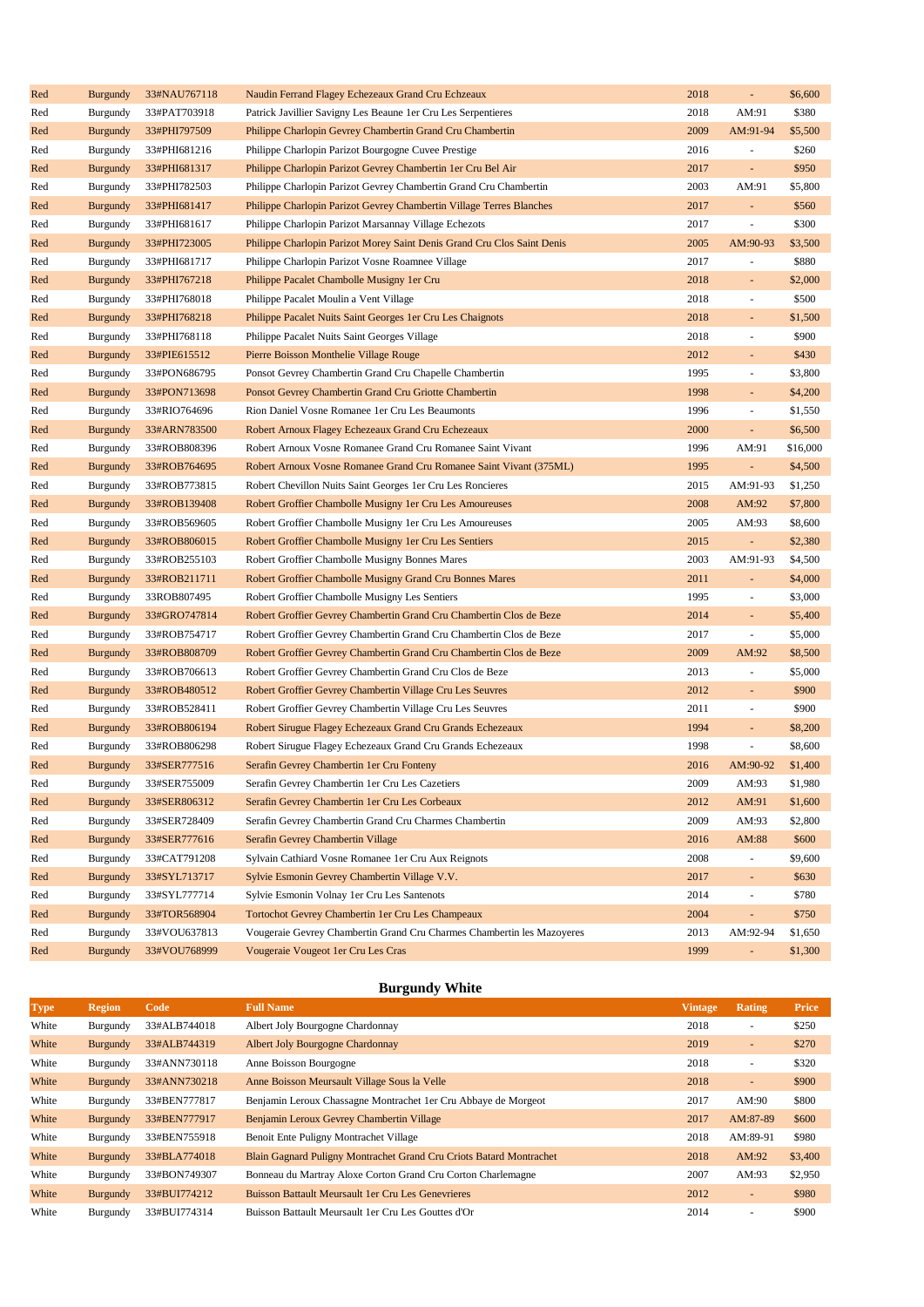| Red | <b>Burgundy</b> | 33#NAU767118 | Naudin Ferrand Flagey Echezeaux Grand Cru Echzeaux                      | 2018 | $\overline{\phantom{a}}$ | \$6,600  |
|-----|-----------------|--------------|-------------------------------------------------------------------------|------|--------------------------|----------|
| Red | Burgundy        | 33#PAT703918 | Patrick Javillier Savigny Les Beaune 1 er Cru Les Serpentieres          | 2018 | AM:91                    | \$380    |
| Red | <b>Burgundy</b> | 33#PHI797509 | Philippe Charlopin Gevrey Chambertin Grand Cru Chambertin               | 2009 | AM:91-94                 | \$5,500  |
| Red | Burgundy        | 33#PHI681216 | Philippe Charlopin Parizot Bourgogne Cuvee Prestige                     | 2016 | $\overline{\phantom{a}}$ | \$260    |
| Red | <b>Burgundy</b> | 33#PHI681317 | Philippe Charlopin Parizot Gevrey Chambertin 1er Cru Bel Air            | 2017 | ÷.                       | \$950    |
| Red | Burgundy        | 33#PHI782503 | Philippe Charlopin Parizot Gevrey Chambertin Grand Cru Chambertin       | 2003 | AM:91                    | \$5,800  |
| Red | <b>Burgundy</b> | 33#PHI681417 | Philippe Charlopin Parizot Gevrey Chambertin Village Terres Blanches    | 2017 | ÷,                       | \$560    |
| Red | Burgundy        | 33#PHI681617 | Philippe Charlopin Parizot Marsannay Village Echezots                   | 2017 | $\blacksquare$           | \$300    |
| Red | <b>Burgundy</b> | 33#PHI723005 | Philippe Charlopin Parizot Morey Saint Denis Grand Cru Clos Saint Denis | 2005 | AM:90-93                 | \$3,500  |
| Red | Burgundy        | 33#PHI681717 | Philippe Charlopin Parizot Vosne Roamnee Village                        | 2017 | $\overline{\phantom{a}}$ | \$880    |
| Red | <b>Burgundy</b> | 33#PHI767218 | Philippe Pacalet Chambolle Musigny 1 er Cru                             | 2018 | $\blacksquare$           | \$2,000  |
| Red | Burgundy        | 33#PHI768018 | Philippe Pacalet Moulin a Vent Village                                  | 2018 | $\overline{\phantom{a}}$ | \$500    |
| Red | <b>Burgundy</b> | 33#PHI768218 | Philippe Pacalet Nuits Saint Georges 1er Cru Les Chaignots              | 2018 | $\blacksquare$           | \$1,500  |
| Red | Burgundy        | 33#PHI768118 | Philippe Pacalet Nuits Saint Georges Village                            | 2018 | $\blacksquare$           | \$900    |
| Red | <b>Burgundy</b> | 33#PIE615512 | Pierre Boisson Monthelie Village Rouge                                  | 2012 | ÷,                       | \$430    |
| Red | Burgundy        | 33#PON686795 | Ponsot Gevrey Chambertin Grand Cru Chapelle Chambertin                  | 1995 | $\blacksquare$           | \$3,800  |
| Red | <b>Burgundy</b> | 33#PON713698 | Ponsot Gevrey Chambertin Grand Cru Griotte Chambertin                   | 1998 | ÷,                       | \$4,200  |
| Red | Burgundy        | 33#RIO764696 | Rion Daniel Vosne Romanee 1er Cru Les Beaumonts                         | 1996 | $\blacksquare$           | \$1,550  |
| Red | <b>Burgundy</b> | 33#ARN783500 | Robert Arnoux Flagey Echezeaux Grand Cru Echezeaux                      | 2000 | ÷,                       | \$6,500  |
| Red | Burgundy        | 33#ROB808396 | Robert Arnoux Vosne Romanee Grand Cru Romanee Saint Vivant              | 1996 | AM:91                    | \$16,000 |
| Red | <b>Burgundy</b> | 33#ROB764695 | Robert Arnoux Vosne Romanee Grand Cru Romanee Saint Vivant (375ML)      | 1995 | ÷.                       | \$4,500  |
| Red | Burgundy        | 33#ROB773815 | Robert Chevillon Nuits Saint Georges 1 er Cru Les Roncieres             | 2015 | AM:91-93                 | \$1,250  |
| Red | <b>Burgundy</b> | 33#ROB139408 | Robert Groffier Chambolle Musigny 1 er Cru Les Amoureuses               | 2008 | AM:92                    | \$7,800  |
| Red | Burgundy        | 33#ROB569605 | Robert Groffier Chambolle Musigny 1 er Cru Les Amoureuses               | 2005 | AM:93                    | \$8,600  |
| Red | <b>Burgundy</b> | 33#ROB806015 | Robert Groffier Chambolle Musigny 1 er Cru Les Sentiers                 | 2015 | $\blacksquare$           | \$2,380  |
| Red | Burgundy        | 33#ROB255103 | Robert Groffier Chambolle Musigny Bonnes Mares                          | 2003 | AM:91-93                 | \$4,500  |
| Red | <b>Burgundy</b> | 33#ROB211711 | Robert Groffier Chambolle Musigny Grand Cru Bonnes Mares                | 2011 | $\blacksquare$           | \$4,000  |
| Red | Burgundy        | 33ROB807495  | Robert Groffier Chambolle Musigny Les Sentiers                          | 1995 | $\blacksquare$           | \$3,000  |
| Red | <b>Burgundy</b> | 33#GRO747814 | Robert Groffier Gevrey Chambertin Grand Cru Chambertin Clos de Beze     | 2014 | $\blacksquare$           | \$5,400  |
| Red | Burgundy        | 33#ROB754717 | Robert Groffier Gevrey Chambertin Grand Cru Chambertin Clos de Beze     | 2017 | $\blacksquare$           | \$5,000  |
| Red | <b>Burgundy</b> | 33#ROB808709 | Robert Groffier Gevrey Chambertin Grand Cru Chambertin Clos de Beze     | 2009 | AM:92                    | \$8,500  |
| Red | Burgundy        | 33#ROB706613 | Robert Groffier Gevrey Chambertin Grand Cru Clos de Beze                | 2013 | $\overline{\phantom{a}}$ | \$5,000  |
| Red | <b>Burgundy</b> | 33#ROB480512 | Robert Groffier Gevrey Chambertin Village Cru Les Seuvres               | 2012 | ÷,                       | \$900    |
| Red | Burgundy        | 33#ROB528411 | Robert Groffier Gevrey Chambertin Village Cru Les Seuvres               | 2011 | $\blacksquare$           | \$900    |
| Red | <b>Burgundy</b> | 33#ROB806194 | Robert Sirugue Flagey Echezeaux Grand Cru Grands Echezeaux              | 1994 | $\blacksquare$           | \$8,200  |
| Red | Burgundy        | 33#ROB806298 | Robert Sirugue Flagey Echezeaux Grand Cru Grands Echezeaux              | 1998 | $\blacksquare$           | \$8,600  |
| Red | <b>Burgundy</b> | 33#SER777516 | Serafin Gevrey Chambertin 1 er Cru Fonteny                              | 2016 | AM:90-92                 | \$1,400  |
| Red | Burgundy        | 33#SER755009 | Serafin Gevrey Chambertin 1er Cru Les Cazetiers                         | 2009 | AM:93                    | \$1,980  |
| Red | <b>Burgundy</b> | 33#SER806312 | Serafin Gevrey Chambertin 1 er Cru Les Corbeaux                         | 2012 | AM:91                    | \$1,600  |
| Red | Burgundy        | 33#SER728409 | Serafin Gevrey Chambertin Grand Cru Charmes Chambertin                  | 2009 | AM:93                    | \$2,800  |
| Red | <b>Burgundy</b> | 33#SER777616 | Serafin Gevrey Chambertin Village                                       | 2016 | AM:88                    | \$600    |
| Red | Burgundy        | 33#CAT791208 | Sylvain Cathiard Vosne Romanee 1er Cru Aux Reignots                     | 2008 | $\overline{\phantom{a}}$ | \$9,600  |
| Red | <b>Burgundy</b> | 33#SYL713717 | Sylvie Esmonin Gevrey Chambertin Village V.V.                           | 2017 | ÷,                       | \$630    |
| Red | Burgundy        | 33#SYL777714 | Sylvie Esmonin Volnay 1er Cru Les Santenots                             | 2014 | $\blacksquare$           | \$780    |
| Red | <b>Burgundy</b> | 33#TOR568904 | Tortochot Gevrey Chambertin 1er Cru Les Champeaux                       | 2004 | $\blacksquare$           | \$750    |
| Red | Burgundy        | 33#VOU637813 | Vougeraie Gevrey Chambertin Grand Cru Charmes Chambertin les Mazoyeres  | 2013 | AM:92-94                 | \$1,650  |
| Red | <b>Burgundy</b> | 33#VOU768999 | Vougeraie Vougeot 1er Cru Les Cras                                      | 1999 | ÷,                       | \$1,300  |

# **Burgundy White**

| <b>Type</b> | <b>Region</b>   | Code         | <b>Full Name</b>                                                           | <b>Vintage</b> | Rating                   | Price   |
|-------------|-----------------|--------------|----------------------------------------------------------------------------|----------------|--------------------------|---------|
| White       | Burgundy        | 33#ALB744018 | Albert Joly Bourgogne Chardonnay                                           | 2018           | $\overline{\phantom{a}}$ | \$250   |
| White       | <b>Burgundy</b> | 33#ALB744319 | <b>Albert Joly Bourgogne Chardonnay</b>                                    | 2019           | $\overline{\phantom{a}}$ | \$270   |
| White       | Burgundy        | 33#ANN730118 | Anne Boisson Bourgogne                                                     | 2018           | $\sim$                   | \$320   |
| White       | Burgundy        | 33#ANN730218 | Anne Boisson Meursault Village Sous la Velle                               | 2018           | $\sim$                   | \$900   |
| White       | Burgundy        | 33#BEN777817 | Benjamin Leroux Chassagne Montrachet 1 er Cru Abbaye de Morgeot            | 2017           | AM:90                    | \$800   |
| White       | <b>Burgundy</b> | 33#BEN777917 | Benjamin Leroux Gevrey Chambertin Village                                  | 2017           | AM:87-89                 | \$600   |
| White       | Burgundy        | 33#BEN755918 | Benoit Ente Puligny Montrachet Village                                     | 2018           | AM:89-91                 | \$980   |
| White       | Burgundy        | 33#BLA774018 | <b>Blain Gagnard Puligny Montrachet Grand Cru Criots Batard Montrachet</b> | 2018           | AM:92                    | \$3,400 |
| White       | Burgundy        | 33#BON749307 | Bonneau du Martray Aloxe Corton Grand Cru Corton Charlemagne               | 2007           | AM:93                    | \$2,950 |
| White       | Burgundy        | 33#BUI774212 | <b>Buisson Battault Meursault 1er Cru Les Genevrieres</b>                  | 2012           | $\sim$                   | \$980   |
| White       | Burgundy        | 33#BUI774314 | Buisson Battault Meursault 1 er Cru Les Gouttes d'Or                       | 2014           | $\sim$                   | \$900   |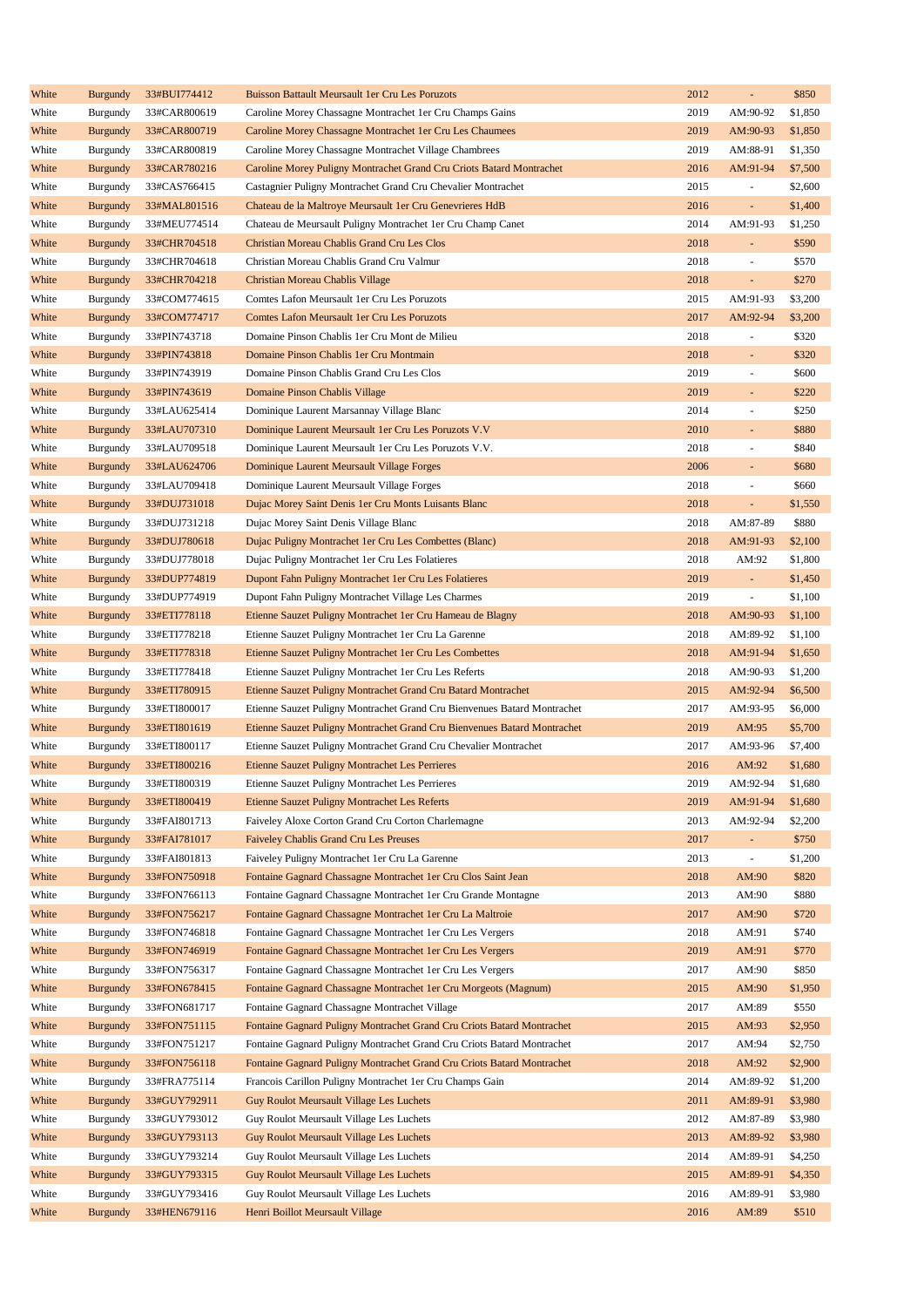| White | <b>Burgundy</b> | 33#BUI774412 | <b>Buisson Battault Meursault 1er Cru Les Poruzots</b>                   | 2012 | ÷,                       | \$850   |
|-------|-----------------|--------------|--------------------------------------------------------------------------|------|--------------------------|---------|
| White | Burgundy        | 33#CAR800619 | Caroline Morey Chassagne Montrachet 1 er Cru Champs Gains                | 2019 | AM:90-92                 | \$1,850 |
| White | <b>Burgundy</b> | 33#CAR800719 | Caroline Morey Chassagne Montrachet 1 er Cru Les Chaumees                | 2019 | AM:90-93                 | \$1,850 |
| White | Burgundy        | 33#CAR800819 | Caroline Morey Chassagne Montrachet Village Chambrees                    | 2019 | AM:88-91                 | \$1,350 |
| White | <b>Burgundy</b> | 33#CAR780216 | Caroline Morey Puligny Montrachet Grand Cru Criots Batard Montrachet     | 2016 | AM:91-94                 | \$7,500 |
| White | Burgundy        | 33#CAS766415 | Castagnier Puligny Montrachet Grand Cru Chevalier Montrachet             | 2015 | $\blacksquare$           | \$2,600 |
| White | <b>Burgundy</b> | 33#MAL801516 | Chateau de la Maltroye Meursault 1 er Cru Genevrieres HdB                | 2016 | ÷,                       | \$1,400 |
| White | Burgundy        | 33#MEU774514 | Chateau de Meursault Puligny Montrachet 1 er Cru Champ Canet             | 2014 | AM:91-93                 | \$1,250 |
| White | <b>Burgundy</b> | 33#CHR704518 | Christian Moreau Chablis Grand Cru Les Clos                              | 2018 | ÷,                       | \$590   |
| White | Burgundy        | 33#CHR704618 | Christian Moreau Chablis Grand Cru Valmur                                | 2018 | ÷,                       | \$570   |
| White | <b>Burgundy</b> | 33#CHR704218 | Christian Moreau Chablis Village                                         | 2018 | L,                       | \$270   |
|       |                 |              |                                                                          |      |                          |         |
| White | Burgundy        | 33#COM774615 | Comtes Lafon Meursault 1er Cru Les Poruzots                              | 2015 | AM:91-93                 | \$3,200 |
| White | <b>Burgundy</b> | 33#COM774717 | Comtes Lafon Meursault 1er Cru Les Poruzots                              | 2017 | AM:92-94                 | \$3,200 |
| White | Burgundy        | 33#PIN743718 | Domaine Pinson Chablis 1er Cru Mont de Milieu                            | 2018 | $\blacksquare$           | \$320   |
| White | <b>Burgundy</b> | 33#PIN743818 | Domaine Pinson Chablis 1er Cru Montmain                                  | 2018 | L.                       | \$320   |
| White | Burgundy        | 33#PIN743919 | Domaine Pinson Chablis Grand Cru Les Clos                                | 2019 | $\blacksquare$           | \$600   |
| White | <b>Burgundy</b> | 33#PIN743619 | Domaine Pinson Chablis Village                                           | 2019 | ÷,                       | \$220   |
| White | Burgundy        | 33#LAU625414 | Dominique Laurent Marsannay Village Blanc                                | 2014 | $\overline{\phantom{a}}$ | \$250   |
| White | <b>Burgundy</b> | 33#LAU707310 | Dominique Laurent Meursault 1 er Cru Les Poruzots V.V                    | 2010 | $\Box$                   | \$880   |
| White | Burgundy        | 33#LAU709518 | Dominique Laurent Meursault 1er Cru Les Poruzots V.V.                    | 2018 | $\blacksquare$           | \$840   |
| White | <b>Burgundy</b> | 33#LAU624706 | Dominique Laurent Meursault Village Forges                               | 2006 | ÷,                       | \$680   |
| White | Burgundy        | 33#LAU709418 | Dominique Laurent Meursault Village Forges                               | 2018 | $\bar{\phantom{a}}$      | \$660   |
| White | <b>Burgundy</b> | 33#DUJ731018 | Dujac Morey Saint Denis 1er Cru Monts Luisants Blanc                     | 2018 | ÷,                       | \$1,550 |
| White | Burgundy        | 33#DUJ731218 | Dujac Morey Saint Denis Village Blanc                                    | 2018 | AM:87-89                 | \$880   |
| White | <b>Burgundy</b> | 33#DUJ780618 | Dujac Puligny Montrachet 1er Cru Les Combettes (Blanc)                   | 2018 | AM:91-93                 | \$2,100 |
| White | Burgundy        | 33#DUJ778018 | Dujac Puligny Montrachet 1er Cru Les Folatieres                          | 2018 | AM:92                    | \$1,800 |
| White | <b>Burgundy</b> | 33#DUP774819 | Dupont Fahn Puligny Montrachet 1er Cru Les Folatieres                    | 2019 | $\omega$                 | \$1,450 |
| White | Burgundy        | 33#DUP774919 | Dupont Fahn Puligny Montrachet Village Les Charmes                       | 2019 | ÷,                       | \$1,100 |
| White | <b>Burgundy</b> | 33#ETI778118 | Etienne Sauzet Puligny Montrachet 1er Cru Hameau de Blagny               | 2018 | AM:90-93                 | \$1,100 |
| White | Burgundy        | 33#ETI778218 | Etienne Sauzet Puligny Montrachet 1 er Cru La Garenne                    | 2018 | AM:89-92                 | \$1,100 |
| White | <b>Burgundy</b> | 33#ETI778318 | Etienne Sauzet Puligny Montrachet 1 er Cru Les Combettes                 | 2018 | AM:91-94                 | \$1,650 |
| White | Burgundy        | 33#ETI778418 | Etienne Sauzet Puligny Montrachet 1er Cru Les Referts                    | 2018 | AM:90-93                 | \$1,200 |
|       |                 |              |                                                                          | 2015 |                          | \$6,500 |
| White | <b>Burgundy</b> | 33#ETI780915 | Etienne Sauzet Puligny Montrachet Grand Cru Batard Montrachet            |      | AM:92-94                 |         |
| White | Burgundy        | 33#ETI800017 | Etienne Sauzet Puligny Montrachet Grand Cru Bienvenues Batard Montrachet | 2017 | AM:93-95                 | \$6,000 |
| White | <b>Burgundy</b> | 33#ETI801619 | Etienne Sauzet Puligny Montrachet Grand Cru Bienvenues Batard Montrachet | 2019 | AM:95                    | \$5,700 |
| White | Burgundy        | 33#ETI800117 | Etienne Sauzet Puligny Montrachet Grand Cru Chevalier Montrachet         | 2017 | AM:93-96                 | \$7,400 |
| White | <b>Burgundy</b> | 33#ETI800216 | Etienne Sauzet Puligny Montrachet Les Perrieres                          | 2016 | AM:92                    | \$1,680 |
| White | Burgundy        | 33#ETI800319 | Etienne Sauzet Puligny Montrachet Les Perrieres                          | 2019 | AM:92-94                 | \$1,680 |
| White | <b>Burgundy</b> | 33#ETI800419 | Etienne Sauzet Puligny Montrachet Les Referts                            | 2019 | AM:91-94                 | \$1,680 |
| White | Burgundy        | 33#FAI801713 | Faiveley Aloxe Corton Grand Cru Corton Charlemagne                       | 2013 | AM:92-94                 | \$2,200 |
| White | <b>Burgundy</b> | 33#FAI781017 | <b>Faiveley Chablis Grand Cru Les Preuses</b>                            | 2017 | $\omega$                 | \$750   |
| White | Burgundy        | 33#FAI801813 | Faiveley Puligny Montrachet 1er Cru La Garenne                           | 2013 | ä,                       | \$1,200 |
| White | <b>Burgundy</b> | 33#FON750918 | Fontaine Gagnard Chassagne Montrachet 1er Cru Clos Saint Jean            | 2018 | AM:90                    | \$820   |
| White | Burgundy        | 33#FON766113 | Fontaine Gagnard Chassagne Montrachet 1 er Cru Grande Montagne           | 2013 | AM:90                    | \$880   |
| White | <b>Burgundy</b> | 33#FON756217 | Fontaine Gagnard Chassagne Montrachet 1 er Cru La Maltroie               | 2017 | AM:90                    | \$720   |
| White | Burgundy        | 33#FON746818 | Fontaine Gagnard Chassagne Montrachet 1er Cru Les Vergers                | 2018 | AM:91                    | \$740   |
| White | <b>Burgundy</b> | 33#FON746919 | Fontaine Gagnard Chassagne Montrachet 1er Cru Les Vergers                | 2019 | AM:91                    | \$770   |
| White | Burgundy        | 33#FON756317 | Fontaine Gagnard Chassagne Montrachet 1er Cru Les Vergers                | 2017 | AM:90                    | \$850   |
| White | <b>Burgundy</b> | 33#FON678415 | Fontaine Gagnard Chassagne Montrachet 1er Cru Morgeots (Magnum)          | 2015 | AM:90                    | \$1,950 |
| White | Burgundy        | 33#FON681717 | Fontaine Gagnard Chassagne Montrachet Village                            | 2017 | AM:89                    | \$550   |
| White | <b>Burgundy</b> | 33#FON751115 | Fontaine Gagnard Puligny Montrachet Grand Cru Criots Batard Montrachet   | 2015 | AM:93                    | \$2,950 |
| White | Burgundy        | 33#FON751217 | Fontaine Gagnard Puligny Montrachet Grand Cru Criots Batard Montrachet   | 2017 | AM:94                    | \$2,750 |
|       |                 |              |                                                                          |      |                          |         |
| White | <b>Burgundy</b> | 33#FON756118 | Fontaine Gagnard Puligny Montrachet Grand Cru Criots Batard Montrachet   | 2018 | AM:92                    | \$2,900 |
| White | Burgundy        | 33#FRA775114 | Francois Carillon Puligny Montrachet 1er Cru Champs Gain                 | 2014 | AM:89-92                 | \$1,200 |
| White | <b>Burgundy</b> | 33#GUY792911 | Guy Roulot Meursault Village Les Luchets                                 | 2011 | AM:89-91                 | \$3,980 |
| White | Burgundy        | 33#GUY793012 | Guy Roulot Meursault Village Les Luchets                                 | 2012 | AM:87-89                 | \$3,980 |
| White | <b>Burgundy</b> | 33#GUY793113 | Guy Roulot Meursault Village Les Luchets                                 | 2013 | AM:89-92                 | \$3,980 |
| White | Burgundy        | 33#GUY793214 | Guy Roulot Meursault Village Les Luchets                                 | 2014 | AM:89-91                 | \$4,250 |
| White | <b>Burgundy</b> | 33#GUY793315 | Guy Roulot Meursault Village Les Luchets                                 | 2015 | AM:89-91                 | \$4,350 |
| White | Burgundy        | 33#GUY793416 | Guy Roulot Meursault Village Les Luchets                                 | 2016 | AM:89-91                 | \$3,980 |
| White | <b>Burgundy</b> | 33#HEN679116 | Henri Boillot Meursault Village                                          | 2016 | AM:89                    | \$510   |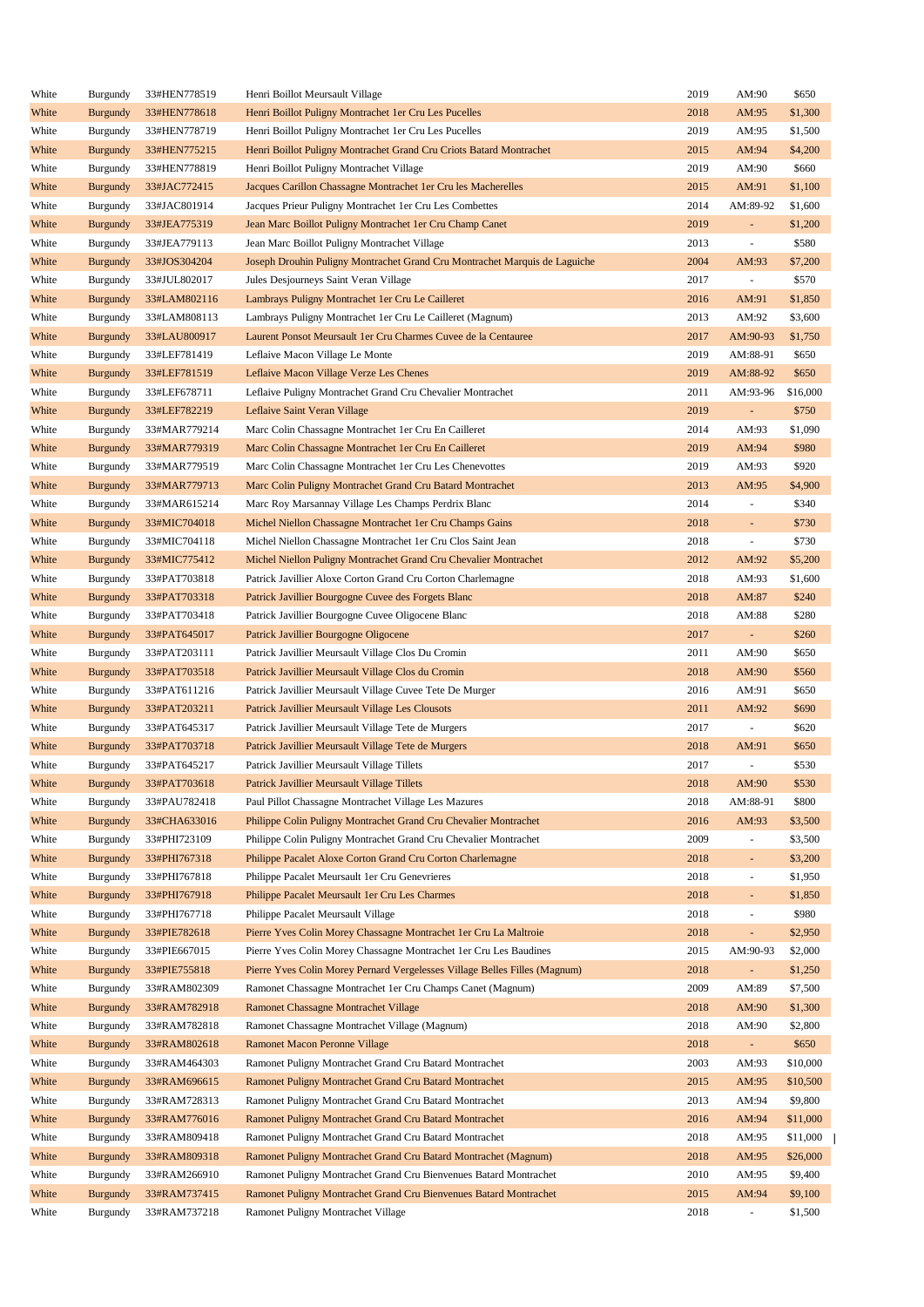| White | Burgundy        | 33#HEN778519 | Henri Boillot Meursault Village                                            | 2019 | AM:90                    | \$650    |
|-------|-----------------|--------------|----------------------------------------------------------------------------|------|--------------------------|----------|
| White | <b>Burgundy</b> | 33#HEN778618 | Henri Boillot Puligny Montrachet 1er Cru Les Pucelles                      | 2018 | AM:95                    | \$1,300  |
| White | Burgundy        | 33#HEN778719 | Henri Boillot Puligny Montrachet 1er Cru Les Pucelles                      | 2019 | AM:95                    | \$1,500  |
| White | <b>Burgundy</b> | 33#HEN775215 | Henri Boillot Puligny Montrachet Grand Cru Criots Batard Montrachet        | 2015 | AM:94                    | \$4,200  |
| White | Burgundy        | 33#HEN778819 | Henri Boillot Puligny Montrachet Village                                   | 2019 | AM:90                    | \$660    |
| White | <b>Burgundy</b> | 33#JAC772415 | Jacques Carillon Chassagne Montrachet 1er Cru les Macherelles              | 2015 | AM:91                    | \$1,100  |
| White | Burgundy        | 33#JAC801914 | Jacques Prieur Puligny Montrachet 1er Cru Les Combettes                    | 2014 | AM:89-92                 | \$1,600  |
| White | <b>Burgundy</b> | 33#JEA775319 | Jean Marc Boillot Puligny Montrachet 1 er Cru Champ Canet                  | 2019 | $\blacksquare$           | \$1,200  |
| White | Burgundy        | 33#JEA779113 | Jean Marc Boillot Puligny Montrachet Village                               | 2013 | $\blacksquare$           | \$580    |
| White | <b>Burgundy</b> | 33#JOS304204 | Joseph Drouhin Puligny Montrachet Grand Cru Montrachet Marquis de Laguiche | 2004 | AM:93                    | \$7,200  |
| White | Burgundy        | 33#JUL802017 | Jules Desjourneys Saint Veran Village                                      | 2017 | $\overline{\phantom{a}}$ | \$570    |
|       |                 |              |                                                                            |      |                          |          |
| White | <b>Burgundy</b> | 33#LAM802116 | Lambrays Puligny Montrachet 1 er Cru Le Cailleret                          | 2016 | AM:91                    | \$1,850  |
| White | Burgundy        | 33#LAM808113 | Lambrays Puligny Montrachet 1er Cru Le Cailleret (Magnum)                  | 2013 | AM:92                    | \$3,600  |
| White | <b>Burgundy</b> | 33#LAU800917 | Laurent Ponsot Meursault 1 er Cru Charmes Cuvee de la Centauree            | 2017 | AM:90-93                 | \$1,750  |
| White | Burgundy        | 33#LEF781419 | Leflaive Macon Village Le Monte                                            | 2019 | AM:88-91                 | \$650    |
| White | <b>Burgundy</b> | 33#LEF781519 | Leflaive Macon Village Verze Les Chenes                                    | 2019 | AM:88-92                 | \$650    |
| White | Burgundy        | 33#LEF678711 | Leflaive Puligny Montrachet Grand Cru Chevalier Montrachet                 | 2011 | AM:93-96                 | \$16,000 |
| White | <b>Burgundy</b> | 33#LEF782219 | Leflaive Saint Veran Village                                               | 2019 | $\overline{\phantom{a}}$ | \$750    |
| White | Burgundy        | 33#MAR779214 | Marc Colin Chassagne Montrachet 1er Cru En Cailleret                       | 2014 | AM:93                    | \$1,090  |
| White | <b>Burgundy</b> | 33#MAR779319 | Marc Colin Chassagne Montrachet 1er Cru En Cailleret                       | 2019 | AM:94                    | \$980    |
| White | Burgundy        | 33#MAR779519 | Marc Colin Chassagne Montrachet 1er Cru Les Chenevottes                    | 2019 | AM:93                    | \$920    |
| White | <b>Burgundy</b> | 33#MAR779713 | Marc Colin Puligny Montrachet Grand Cru Batard Montrachet                  | 2013 | AM:95                    | \$4,900  |
| White | Burgundy        | 33#MAR615214 | Marc Roy Marsannay Village Les Champs Perdrix Blanc                        | 2014 | $\overline{\phantom{a}}$ | \$340    |
| White | <b>Burgundy</b> | 33#MIC704018 | Michel Niellon Chassagne Montrachet 1er Cru Champs Gains                   | 2018 | $\blacksquare$           | \$730    |
| White | Burgundy        | 33#MIC704118 | Michel Niellon Chassagne Montrachet 1er Cru Clos Saint Jean                | 2018 | $\blacksquare$           | \$730    |
| White | <b>Burgundy</b> | 33#MIC775412 | Michel Niellon Puligny Montrachet Grand Cru Chevalier Montrachet           | 2012 | AM:92                    | \$5,200  |
| White | Burgundy        | 33#PAT703818 | Patrick Javillier Aloxe Corton Grand Cru Corton Charlemagne                | 2018 | AM:93                    | \$1,600  |
| White | <b>Burgundy</b> | 33#PAT703318 | Patrick Javillier Bourgogne Cuvee des Forgets Blanc                        | 2018 | AM:87                    | \$240    |
| White | Burgundy        | 33#PAT703418 | Patrick Javillier Bourgogne Cuvee Oligocene Blanc                          | 2018 | AM:88                    | \$280    |
| White | <b>Burgundy</b> | 33#PAT645017 | Patrick Javillier Bourgogne Oligocene                                      | 2017 | $\overline{\phantom{a}}$ | \$260    |
| White | Burgundy        | 33#PAT203111 | Patrick Javillier Meursault Village Clos Du Cromin                         | 2011 | AM:90                    | \$650    |
|       |                 |              |                                                                            |      |                          |          |
| White | <b>Burgundy</b> | 33#PAT703518 | Patrick Javillier Meursault Village Clos du Cromin                         | 2018 | AM:90                    | \$560    |
| White | Burgundy        | 33#PAT611216 | Patrick Javillier Meursault Village Cuvee Tete De Murger                   | 2016 | AM:91                    | \$650    |
| White | <b>Burgundy</b> | 33#PAT203211 | Patrick Javillier Meursault Village Les Clousots                           | 2011 | AM:92                    | \$690    |
| White | Burgundy        | 33#PAT645317 | Patrick Javillier Meursault Village Tete de Murgers                        | 2017 | $\overline{\phantom{a}}$ | \$620    |
| White | <b>Burgundy</b> | 33#PAT703718 | Patrick Javillier Meursault Village Tete de Murgers                        | 2018 | AM:91                    | \$650    |
| White | Burgundy        | 33#PAT645217 | Patrick Javillier Meursault Village Tillets                                | 2017 | $\overline{\phantom{a}}$ | \$530    |
| White | <b>Burgundy</b> | 33#PAT703618 | Patrick Javillier Meursault Village Tillets                                | 2018 | $AM:90$                  | \$530    |
| White | Burgundy        | 33#PAU782418 | Paul Pillot Chassagne Montrachet Village Les Mazures                       | 2018 | AM:88-91                 | \$800    |
| White | <b>Burgundy</b> | 33#CHA633016 | Philippe Colin Puligny Montrachet Grand Cru Chevalier Montrachet           | 2016 | AM:93                    | \$3,500  |
| White | Burgundy        | 33#PHI723109 | Philippe Colin Puligny Montrachet Grand Cru Chevalier Montrachet           | 2009 | $\overline{\phantom{a}}$ | \$3,500  |
| White | <b>Burgundy</b> | 33#PHI767318 | Philippe Pacalet Aloxe Corton Grand Cru Corton Charlemagne                 | 2018 | $\blacksquare$           | \$3,200  |
| White | Burgundy        | 33#PHI767818 | Philippe Pacalet Meursault 1 er Cru Genevrieres                            | 2018 | $\overline{\phantom{a}}$ | \$1,950  |
| White | <b>Burgundy</b> | 33#PHI767918 | Philippe Pacalet Meursault 1 er Cru Les Charmes                            | 2018 | $\blacksquare$           | \$1,850  |
| White | Burgundy        | 33#PHI767718 | Philippe Pacalet Meursault Village                                         | 2018 | $\overline{\phantom{a}}$ | \$980    |
| White | <b>Burgundy</b> | 33#PIE782618 | Pierre Yves Colin Morey Chassagne Montrachet 1 er Cru La Maltroie          | 2018 | $\blacksquare$           | \$2,950  |
| White | Burgundy        | 33#PIE667015 | Pierre Yves Colin Morey Chassagne Montrachet 1er Cru Les Baudines          | 2015 | AM:90-93                 | \$2,000  |
| White | <b>Burgundy</b> | 33#PIE755818 | Pierre Yves Colin Morey Pernard Vergelesses Village Belles Filles (Magnum) | 2018 | $\blacksquare$           | \$1,250  |
| White | Burgundy        | 33#RAM802309 | Ramonet Chassagne Montrachet 1er Cru Champs Canet (Magnum)                 | 2009 | AM:89                    | \$7,500  |
| White | <b>Burgundy</b> | 33#RAM782918 | Ramonet Chassagne Montrachet Village                                       | 2018 | AM:90                    | \$1,300  |
| White | Burgundy        | 33#RAM782818 | Ramonet Chassagne Montrachet Village (Magnum)                              | 2018 | AM:90                    | \$2,800  |
|       |                 |              |                                                                            |      |                          |          |
| White | <b>Burgundy</b> | 33#RAM802618 | Ramonet Macon Peronne Village                                              | 2018 | $\overline{\phantom{a}}$ | \$650    |
| White | Burgundy        | 33#RAM464303 | Ramonet Puligny Montrachet Grand Cru Batard Montrachet                     | 2003 | AM:93                    | \$10,000 |
| White | <b>Burgundy</b> | 33#RAM696615 | Ramonet Puligny Montrachet Grand Cru Batard Montrachet                     | 2015 | AM:95                    | \$10,500 |
| White | Burgundy        | 33#RAM728313 | Ramonet Puligny Montrachet Grand Cru Batard Montrachet                     | 2013 | AM:94                    | \$9,800  |
| White | <b>Burgundy</b> | 33#RAM776016 | Ramonet Puligny Montrachet Grand Cru Batard Montrachet                     | 2016 | AM:94                    | \$11,000 |
| White | Burgundy        | 33#RAM809418 | Ramonet Puligny Montrachet Grand Cru Batard Montrachet                     | 2018 | AM:95                    | \$11,000 |
| White | <b>Burgundy</b> | 33#RAM809318 | Ramonet Puligny Montrachet Grand Cru Batard Montrachet (Magnum)            | 2018 | AM:95                    | \$26,000 |
| White | Burgundy        | 33#RAM266910 | Ramonet Puligny Montrachet Grand Cru Bienvenues Batard Montrachet          | 2010 | AM:95                    | \$9,400  |
| White | <b>Burgundy</b> | 33#RAM737415 | Ramonet Puligny Montrachet Grand Cru Bienvenues Batard Montrachet          | 2015 | AM:94                    | \$9,100  |
| White | Burgundy        | 33#RAM737218 | Ramonet Puligny Montrachet Village                                         | 2018 | $\blacksquare$           | \$1,500  |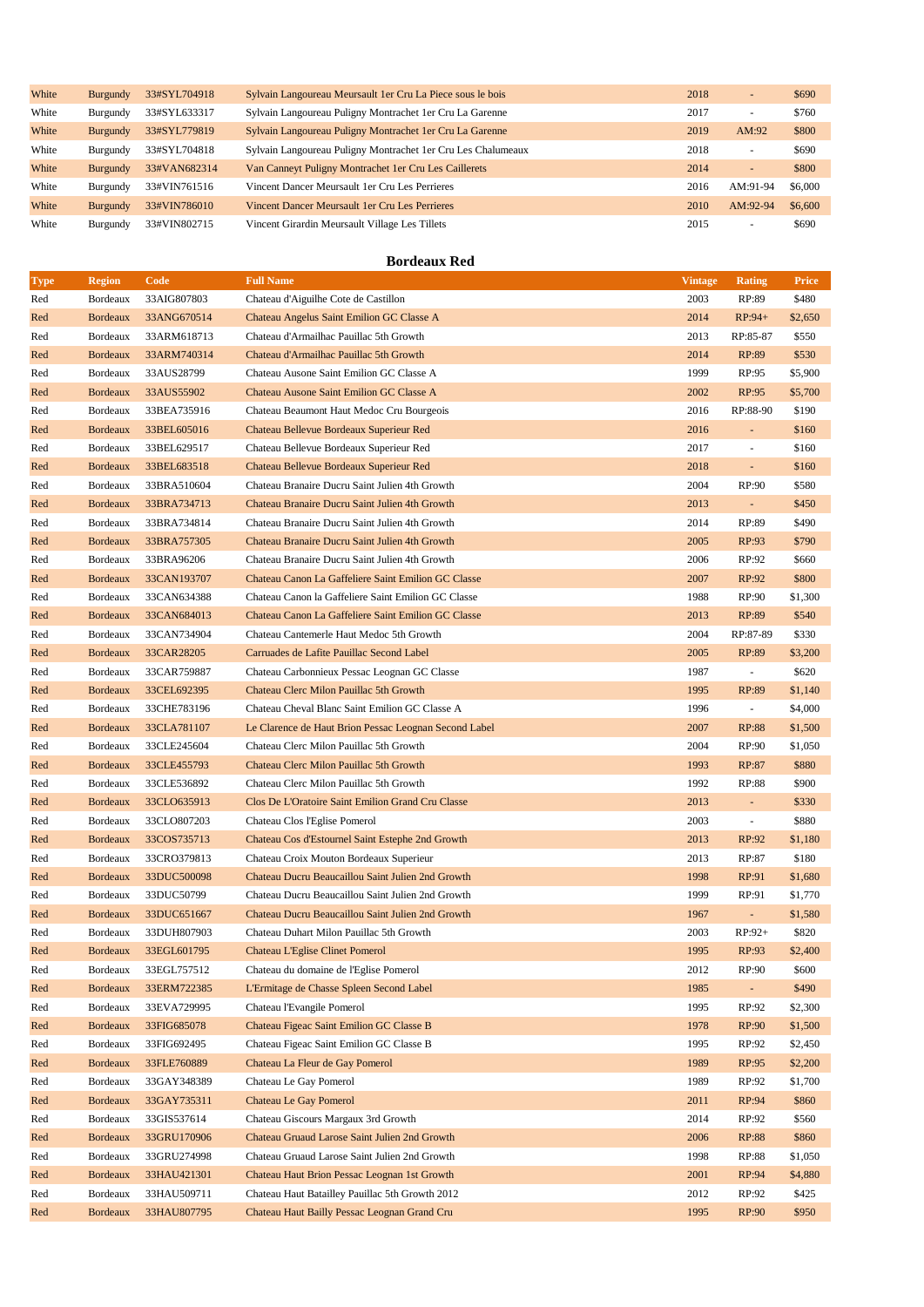| White | <b>Burgundy</b> | 33#SYL704918 | Sylvain Langoureau Meursault 1 er Cru La Piece sous le bois   | 2018 | $\overline{a}$           | \$690   |
|-------|-----------------|--------------|---------------------------------------------------------------|------|--------------------------|---------|
| White | Burgundy        | 33#SYL633317 | Sylvain Langoureau Puligny Montrachet 1 er Cru La Garenne     | 2017 | $\overline{\phantom{a}}$ | \$760   |
| White | Burgundy        | 33#SYL779819 | Sylvain Langoureau Puligny Montrachet 1 er Cru La Garenne     | 2019 | AM:92                    | \$800   |
| White | Burgundy        | 33#SYL704818 | Sylvain Langoureau Puligny Montrachet 1 er Cru Les Chalumeaux | 2018 | $\sim$                   | \$690   |
| White | <b>Burgundy</b> | 33#VAN682314 | Van Canneyt Puligny Montrachet 1 er Cru Les Caillerets        | 2014 | $\overline{\phantom{a}}$ | \$800   |
| White | Burgundy        | 33#VIN761516 | Vincent Dancer Meursault 1 er Cru Les Perrieres               | 2016 | AM:91-94                 | \$6,000 |
| White | Burgundy        | 33#VIN786010 | Vincent Dancer Meursault 1 er Cru Les Perrieres               | 2010 | AM:92-94                 | \$6,600 |
| White | Burgundy        | 33#VIN802715 | Vincent Girardin Meursault Village Les Tillets                | 2015 | ۰                        | \$690   |

### **Bordeaux Red**

| <b>Type</b> | <b>Region</b>   | Code        | <b>Full Name</b>                                      | <b>Vintage</b> | Rating                   | <b>Price</b> |
|-------------|-----------------|-------------|-------------------------------------------------------|----------------|--------------------------|--------------|
| Red         | Bordeaux        | 33AIG807803 | Chateau d'Aiguilhe Cote de Castillon                  | 2003           | RP:89                    | \$480        |
| Red         | <b>Bordeaux</b> | 33ANG670514 | Chateau Angelus Saint Emilion GC Classe A             | 2014           | $RP:94+$                 | \$2,650      |
| Red         | Bordeaux        | 33ARM618713 | Chateau d'Armailhac Pauillac 5th Growth               | 2013           | RP:85-87                 | \$550        |
| Red         | <b>Bordeaux</b> | 33ARM740314 | Chateau d'Armailhac Pauillac 5th Growth               | 2014           | RP:89                    | \$530        |
| Red         | Bordeaux        | 33AUS28799  | Chateau Ausone Saint Emilion GC Classe A              | 1999           | RP:95                    | \$5,900      |
| Red         | <b>Bordeaux</b> | 33AUS55902  | Chateau Ausone Saint Emilion GC Classe A              | 2002           | RP:95                    | \$5,700      |
| Red         | Bordeaux        | 33BEA735916 | Chateau Beaumont Haut Medoc Cru Bourgeois             | 2016           | RP:88-90                 | \$190        |
| Red         | <b>Bordeaux</b> | 33BEL605016 | Chateau Bellevue Bordeaux Superieur Red               | 2016           | $\omega$                 | \$160        |
| Red         | Bordeaux        | 33BEL629517 | Chateau Bellevue Bordeaux Superieur Red               | 2017           | $\overline{\phantom{a}}$ | \$160        |
| Red         | <b>Bordeaux</b> | 33BEL683518 | Chateau Bellevue Bordeaux Superieur Red               | 2018           | ÷,                       | \$160        |
| Red         | Bordeaux        | 33BRA510604 | Chateau Branaire Ducru Saint Julien 4th Growth        | 2004           | RP:90                    | \$580        |
| Red         | <b>Bordeaux</b> | 33BRA734713 | Chateau Branaire Ducru Saint Julien 4th Growth        | 2013           | ÷.                       | \$450        |
| Red         | Bordeaux        | 33BRA734814 | Chateau Branaire Ducru Saint Julien 4th Growth        | 2014           | RP:89                    | \$490        |
| Red         | <b>Bordeaux</b> | 33BRA757305 | Chateau Branaire Ducru Saint Julien 4th Growth        | 2005           | RP:93                    | \$790        |
| Red         | Bordeaux        | 33BRA96206  | Chateau Branaire Ducru Saint Julien 4th Growth        | 2006           | RP:92                    | \$660        |
| Red         | <b>Bordeaux</b> | 33CAN193707 | Chateau Canon La Gaffeliere Saint Emilion GC Classe   | 2007           | RP:92                    | \$800        |
| Red         | Bordeaux        | 33CAN634388 | Chateau Canon la Gaffeliere Saint Emilion GC Classe   | 1988           | RP:90                    | \$1,300      |
| Red         | <b>Bordeaux</b> | 33CAN684013 | Chateau Canon La Gaffeliere Saint Emilion GC Classe   | 2013           | RP:89                    | \$540        |
| Red         | Bordeaux        | 33CAN734904 | Chateau Cantemerle Haut Medoc 5th Growth              | 2004           | RP:87-89                 | \$330        |
| Red         | <b>Bordeaux</b> | 33CAR28205  | Carruades de Lafite Pauillac Second Label             | 2005           | RP:89                    | \$3,200      |
| Red         | Bordeaux        | 33CAR759887 | Chateau Carbonnieux Pessac Leognan GC Classe          | 1987           | $\overline{\phantom{a}}$ | \$620        |
| Red         | <b>Bordeaux</b> | 33CEL692395 | Chateau Clerc Milon Pauillac 5th Growth               | 1995           | RP:89                    | \$1,140      |
| Red         | Bordeaux        | 33CHE783196 | Chateau Cheval Blanc Saint Emilion GC Classe A        | 1996           | $\overline{\phantom{a}}$ | \$4,000      |
| Red         | <b>Bordeaux</b> | 33CLA781107 | Le Clarence de Haut Brion Pessac Leognan Second Label | 2007           | <b>RP:88</b>             | \$1,500      |
| Red         | Bordeaux        | 33CLE245604 | Chateau Clerc Milon Pauillac 5th Growth               | 2004           | RP:90                    | \$1,050      |
| Red         | <b>Bordeaux</b> | 33CLE455793 | Chateau Clerc Milon Pauillac 5th Growth               | 1993           | RP:87                    | \$880        |
| Red         | Bordeaux        | 33CLE536892 | Chateau Clerc Milon Pauillac 5th Growth               | 1992           | RP:88                    | \$900        |
| Red         | <b>Bordeaux</b> | 33CLO635913 | Clos De L'Oratoire Saint Emilion Grand Cru Classe     | 2013           | ÷.                       | \$330        |
| Red         | Bordeaux        | 33CLO807203 | Chateau Clos l'Eglise Pomerol                         | 2003           | $\overline{\phantom{a}}$ | \$880        |
| Red         | <b>Bordeaux</b> | 33COS735713 | Chateau Cos d'Estournel Saint Estephe 2nd Growth      | 2013           | RP:92                    | \$1,180      |
| Red         | Bordeaux        | 33CRO379813 | Chateau Croix Mouton Bordeaux Superieur               | 2013           | RP:87                    | \$180        |
| Red         | <b>Bordeaux</b> | 33DUC500098 | Chateau Ducru Beaucaillou Saint Julien 2nd Growth     | 1998           | RP:91                    | \$1,680      |
| Red         | Bordeaux        | 33DUC50799  | Chateau Ducru Beaucaillou Saint Julien 2nd Growth     | 1999           | RP:91                    | \$1,770      |
| Red         | <b>Bordeaux</b> | 33DUC651667 | Chateau Ducru Beaucaillou Saint Julien 2nd Growth     | 1967           | $\omega$                 | \$1,580      |
| Red         | Bordeaux        | 33DUH807903 | Chateau Duhart Milon Pauillac 5th Growth              | 2003           | $RP:92+$                 | \$820        |
| Red         | Bordeaux        | 33EGL601795 | Chateau L'Eglise Clinet Pomerol                       | 1995           | RP:93                    | \$2,400      |
| Red         | Bordeaux        | 33EGL757512 | Chateau du domaine de l'Eglise Pomerol                | 2012           | RP:90                    | \$600        |
| Red         | Bordeaux        | 33ERM722385 | L'Ermitage de Chasse Spleen Second Label              | 1985           | ÷.                       | \$490        |
| Red         | Bordeaux        | 33EVA729995 | Chateau l'Evangile Pomerol                            | 1995           | RP:92                    | \$2,300      |
| Red         | <b>Bordeaux</b> | 33FIG685078 | Chateau Figeac Saint Emilion GC Classe B              | 1978           | RP:90                    | \$1,500      |
| Red         | Bordeaux        | 33FIG692495 | Chateau Figeac Saint Emilion GC Classe B              | 1995           | RP:92                    | \$2,450      |
| Red         | <b>Bordeaux</b> | 33FLE760889 | Chateau La Fleur de Gay Pomerol                       | 1989           | RP:95                    | \$2,200      |
| Red         | Bordeaux        | 33GAY348389 | Chateau Le Gay Pomerol                                | 1989           | RP:92                    | \$1,700      |
| Red         | <b>Bordeaux</b> | 33GAY735311 | Chateau Le Gay Pomerol                                | 2011           | RP:94                    | \$860        |
| Red         | Bordeaux        | 33GIS537614 | Chateau Giscours Margaux 3rd Growth                   | 2014           | RP:92                    | \$560        |
| Red         | <b>Bordeaux</b> | 33GRU170906 | Chateau Gruaud Larose Saint Julien 2nd Growth         | 2006           | RP:88                    | \$860        |
| Red         | Bordeaux        | 33GRU274998 | Chateau Gruaud Larose Saint Julien 2nd Growth         | 1998           | RP:88                    | \$1,050      |
| Red         | <b>Bordeaux</b> | 33HAU421301 | Chateau Haut Brion Pessac Leognan 1st Growth          | 2001           | RP:94                    | \$4,880      |
| Red         | Bordeaux        | 33HAU509711 | Chateau Haut Batailley Pauillac 5th Growth 2012       | 2012           | RP:92                    | \$425        |
| Red         | <b>Bordeaux</b> | 33HAU807795 | Chateau Haut Bailly Pessac Leognan Grand Cru          | 1995           | RP:90                    | \$950        |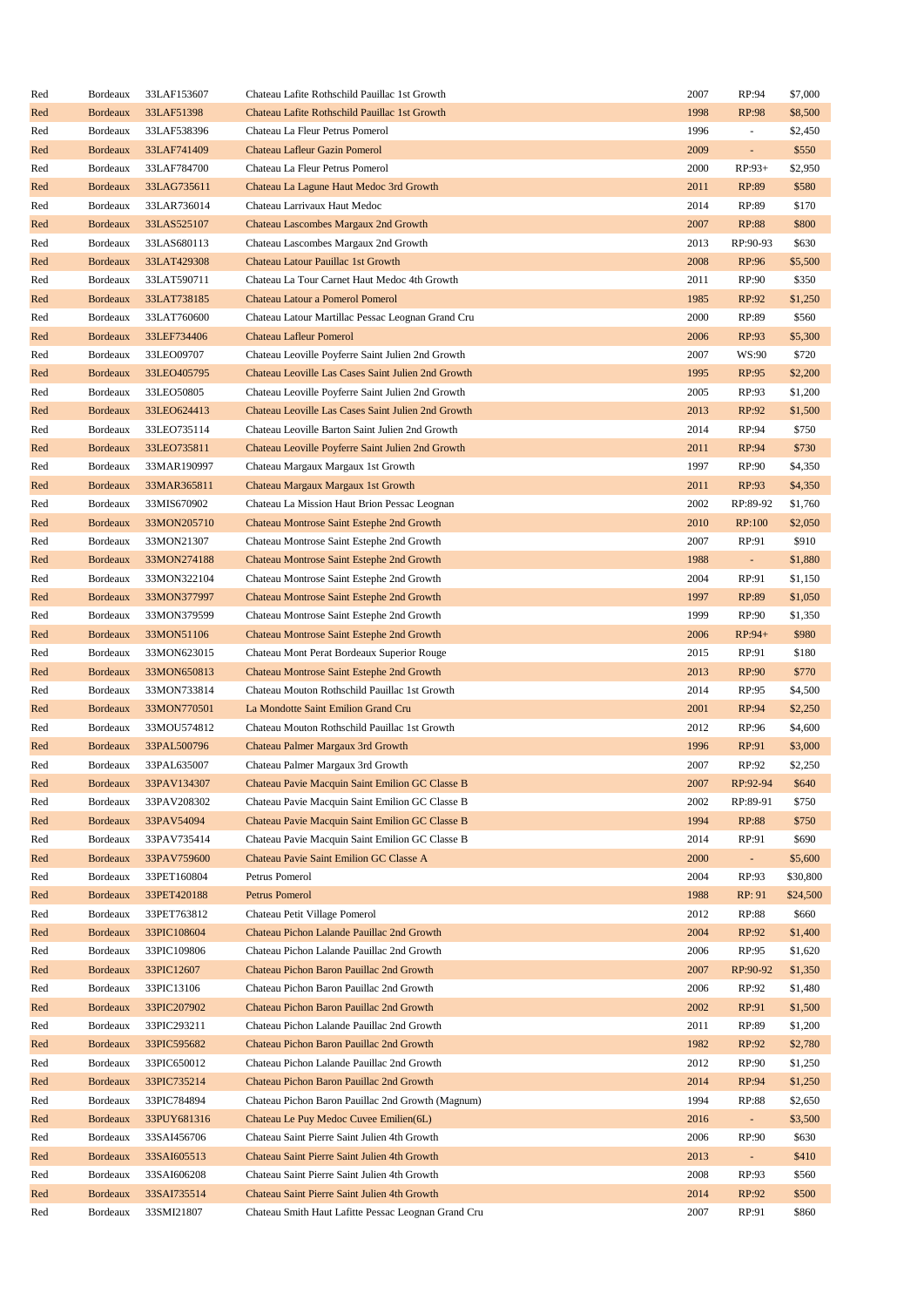| Red | Bordeaux                    | 33LAF153607 | Chateau Lafite Rothschild Pauillac 1st Growth                               | 2007 | RP:94          | \$7,000  |
|-----|-----------------------------|-------------|-----------------------------------------------------------------------------|------|----------------|----------|
| Red | <b>Bordeaux</b>             | 33LAF51398  | Chateau Lafite Rothschild Pauillac 1st Growth                               | 1998 | RP:98          | \$8,500  |
| Red | Bordeaux                    | 33LAF538396 | Chateau La Fleur Petrus Pomerol                                             | 1996 | ÷              | \$2,450  |
| Red | <b>Bordeaux</b>             | 33LAF741409 | Chateau Lafleur Gazin Pomerol                                               | 2009 | ÷,             | \$550    |
| Red | Bordeaux                    | 33LAF784700 | Chateau La Fleur Petrus Pomerol                                             | 2000 | $RP:93+$       | \$2,950  |
| Red | <b>Bordeaux</b>             | 33LAG735611 | Chateau La Lagune Haut Medoc 3rd Growth                                     | 2011 | RP:89          | \$580    |
| Red | Bordeaux                    | 33LAR736014 | Chateau Larrivaux Haut Medoc                                                | 2014 | RP:89          | \$170    |
| Red | <b>Bordeaux</b>             | 33LAS525107 | Chateau Lascombes Margaux 2nd Growth                                        | 2007 | RP:88          | \$800    |
| Red | Bordeaux                    | 33LAS680113 | Chateau Lascombes Margaux 2nd Growth                                        | 2013 | RP:90-93       | \$630    |
| Red | <b>Bordeaux</b>             | 33LAT429308 | Chateau Latour Pauillac 1st Growth                                          | 2008 | RP:96          | \$5,500  |
| Red | Bordeaux                    | 33LAT590711 | Chateau La Tour Carnet Haut Medoc 4th Growth                                | 2011 | RP:90          | \$350    |
| Red | <b>Bordeaux</b>             | 33LAT738185 | Chateau Latour a Pomerol Pomerol                                            | 1985 | RP:92          | \$1,250  |
| Red | Bordeaux                    | 33LAT760600 | Chateau Latour Martillac Pessac Leognan Grand Cru                           | 2000 | RP:89          | \$560    |
| Red | <b>Bordeaux</b>             | 33LEF734406 | <b>Chateau Lafleur Pomerol</b>                                              | 2006 | RP:93          | \$5,300  |
| Red | Bordeaux                    | 33LEO09707  | Chateau Leoville Poyferre Saint Julien 2nd Growth                           | 2007 | WS:90          | \$720    |
|     |                             |             |                                                                             |      |                |          |
| Red | <b>Bordeaux</b>             | 33LEO405795 | Chateau Leoville Las Cases Saint Julien 2nd Growth                          | 1995 | RP:95          | \$2,200  |
| Red | Bordeaux                    | 33LEO50805  | Chateau Leoville Poyferre Saint Julien 2nd Growth                           | 2005 | RP:93          | \$1,200  |
| Red | <b>Bordeaux</b>             | 33LEO624413 | Chateau Leoville Las Cases Saint Julien 2nd Growth                          | 2013 | RP:92          | \$1,500  |
| Red | Bordeaux                    | 33LEO735114 | Chateau Leoville Barton Saint Julien 2nd Growth                             | 2014 | RP:94          | \$750    |
| Red | <b>Bordeaux</b>             | 33LEO735811 | Chateau Leoville Poyferre Saint Julien 2nd Growth                           | 2011 | RP:94          | \$730    |
| Red | Bordeaux                    | 33MAR190997 | Chateau Margaux Margaux 1st Growth                                          | 1997 | RP:90          | \$4,350  |
| Red | <b>Bordeaux</b>             | 33MAR365811 | Chateau Margaux Margaux 1st Growth                                          | 2011 | RP:93          | \$4,350  |
| Red | Bordeaux                    | 33MIS670902 | Chateau La Mission Haut Brion Pessac Leognan                                | 2002 | RP:89-92       | \$1,760  |
| Red | <b>Bordeaux</b>             | 33MON205710 | Chateau Montrose Saint Estephe 2nd Growth                                   | 2010 | RP:100         | \$2,050  |
| Red | Bordeaux                    | 33MON21307  | Chateau Montrose Saint Estephe 2nd Growth                                   | 2007 | RP:91          | \$910    |
| Red | <b>Bordeaux</b>             | 33MON274188 | Chateau Montrose Saint Estephe 2nd Growth                                   | 1988 | $\sim$         | \$1,880  |
| Red | Bordeaux                    | 33MON322104 | Chateau Montrose Saint Estephe 2nd Growth                                   | 2004 | RP:91          | \$1,150  |
| Red | <b>Bordeaux</b>             | 33MON377997 | Chateau Montrose Saint Estephe 2nd Growth                                   | 1997 | RP:89          | \$1,050  |
| Red | Bordeaux                    | 33MON379599 | Chateau Montrose Saint Estephe 2nd Growth                                   | 1999 | RP:90          | \$1,350  |
| Red | <b>Bordeaux</b>             | 33MON51106  | Chateau Montrose Saint Estephe 2nd Growth                                   | 2006 | $RP:94+$       | \$980    |
| Red | Bordeaux                    | 33MON623015 | Chateau Mont Perat Bordeaux Superior Rouge                                  | 2015 | RP:91          | \$180    |
| Red | <b>Bordeaux</b>             | 33MON650813 | Chateau Montrose Saint Estephe 2nd Growth                                   | 2013 | RP:90          | \$770    |
| Red | Bordeaux                    | 33MON733814 | Chateau Mouton Rothschild Pauillac 1st Growth                               | 2014 | RP:95          | \$4,500  |
| Red | <b>Bordeaux</b>             | 33MON770501 | La Mondotte Saint Emilion Grand Cru                                         | 2001 | RP:94          | \$2,250  |
| Red | Bordeaux                    | 33MOU574812 | Chateau Mouton Rothschild Pauillac 1st Growth                               | 2012 | RP:96          | \$4,600  |
| Red | <b>Bordeaux</b>             | 33PAL500796 | Chateau Palmer Margaux 3rd Growth                                           | 1996 | RP:91          | \$3,000  |
| Red | Bordeaux                    | 33PAL635007 | Chateau Palmer Margaux 3rd Growth                                           | 2007 | RP:92          | \$2,250  |
| Red | <b>Bordeaux</b>             | 33PAV134307 | Chateau Pavie Macquin Saint Emilion GC Classe B                             | 2007 | RP:92-94       | \$640    |
| Red | Bordeaux                    | 33PAV208302 | Chateau Pavie Macquin Saint Emilion GC Classe B                             | 2002 | RP:89-91       | \$750    |
| Red | <b>Bordeaux</b>             | 33PAV54094  | Chateau Pavie Macquin Saint Emilion GC Classe B                             | 1994 | RP:88          | \$750    |
| Red | Bordeaux                    | 33PAV735414 | Chateau Pavie Macquin Saint Emilion GC Classe B                             | 2014 | RP:91          | \$690    |
| Red | Bordeaux                    | 33PAV759600 | Chateau Pavie Saint Emilion GC Classe A                                     | 2000 | $\sim$         | \$5,600  |
| Red | Bordeaux                    | 33PET160804 | Petrus Pomerol                                                              | 2004 | RP:93          | \$30,800 |
| Red | <b>Bordeaux</b>             | 33PET420188 | Petrus Pomerol                                                              | 1988 | RP: 91         | \$24,500 |
|     |                             | 33PET763812 |                                                                             | 2012 |                | \$660    |
| Red | Bordeaux<br><b>Bordeaux</b> | 33PIC108604 | Chateau Petit Village Pomerol<br>Chateau Pichon Lalande Pauillac 2nd Growth | 2004 | RP:88<br>RP:92 |          |
| Red |                             |             |                                                                             |      |                | \$1,400  |
| Red | Bordeaux                    | 33PIC109806 | Chateau Pichon Lalande Pauillac 2nd Growth                                  | 2006 | RP:95          | \$1,620  |
| Red | <b>Bordeaux</b>             | 33PIC12607  | Chateau Pichon Baron Pauillac 2nd Growth                                    | 2007 | RP:90-92       | \$1,350  |
| Red | Bordeaux                    | 33PIC13106  | Chateau Pichon Baron Pauillac 2nd Growth                                    | 2006 | RP:92          | \$1,480  |
| Red | <b>Bordeaux</b>             | 33PIC207902 | Chateau Pichon Baron Pauillac 2nd Growth                                    | 2002 | RP:91          | \$1,500  |
| Red | Bordeaux                    | 33PIC293211 | Chateau Pichon Lalande Pauillac 2nd Growth                                  | 2011 | RP:89          | \$1,200  |
| Red | <b>Bordeaux</b>             | 33PIC595682 | Chateau Pichon Baron Pauillac 2nd Growth                                    | 1982 | RP:92          | \$2,780  |
| Red | Bordeaux                    | 33PIC650012 | Chateau Pichon Lalande Pauillac 2nd Growth                                  | 2012 | RP:90          | \$1,250  |
| Red | <b>Bordeaux</b>             | 33PIC735214 | Chateau Pichon Baron Pauillac 2nd Growth                                    | 2014 | RP:94          | \$1,250  |
| Red | Bordeaux                    | 33PIC784894 | Chateau Pichon Baron Pauillac 2nd Growth (Magnum)                           | 1994 | RP:88          | \$2,650  |
| Red | <b>Bordeaux</b>             | 33PUY681316 | Chateau Le Puy Medoc Cuvee Emilien(6L)                                      | 2016 | ÷              | \$3,500  |
| Red | Bordeaux                    | 33SAI456706 | Chateau Saint Pierre Saint Julien 4th Growth                                | 2006 | RP:90          | \$630    |
| Red | <b>Bordeaux</b>             | 33SAI605513 | Chateau Saint Pierre Saint Julien 4th Growth                                | 2013 | ÷,             | \$410    |
| Red | Bordeaux                    | 33SAI606208 | Chateau Saint Pierre Saint Julien 4th Growth                                | 2008 | RP:93          | \$560    |
| Red | <b>Bordeaux</b>             | 33SAI735514 | Chateau Saint Pierre Saint Julien 4th Growth                                | 2014 | RP:92          | \$500    |
| Red | Bordeaux                    | 33SMI21807  | Chateau Smith Haut Lafitte Pessac Leognan Grand Cru                         | 2007 | RP:91          | \$860    |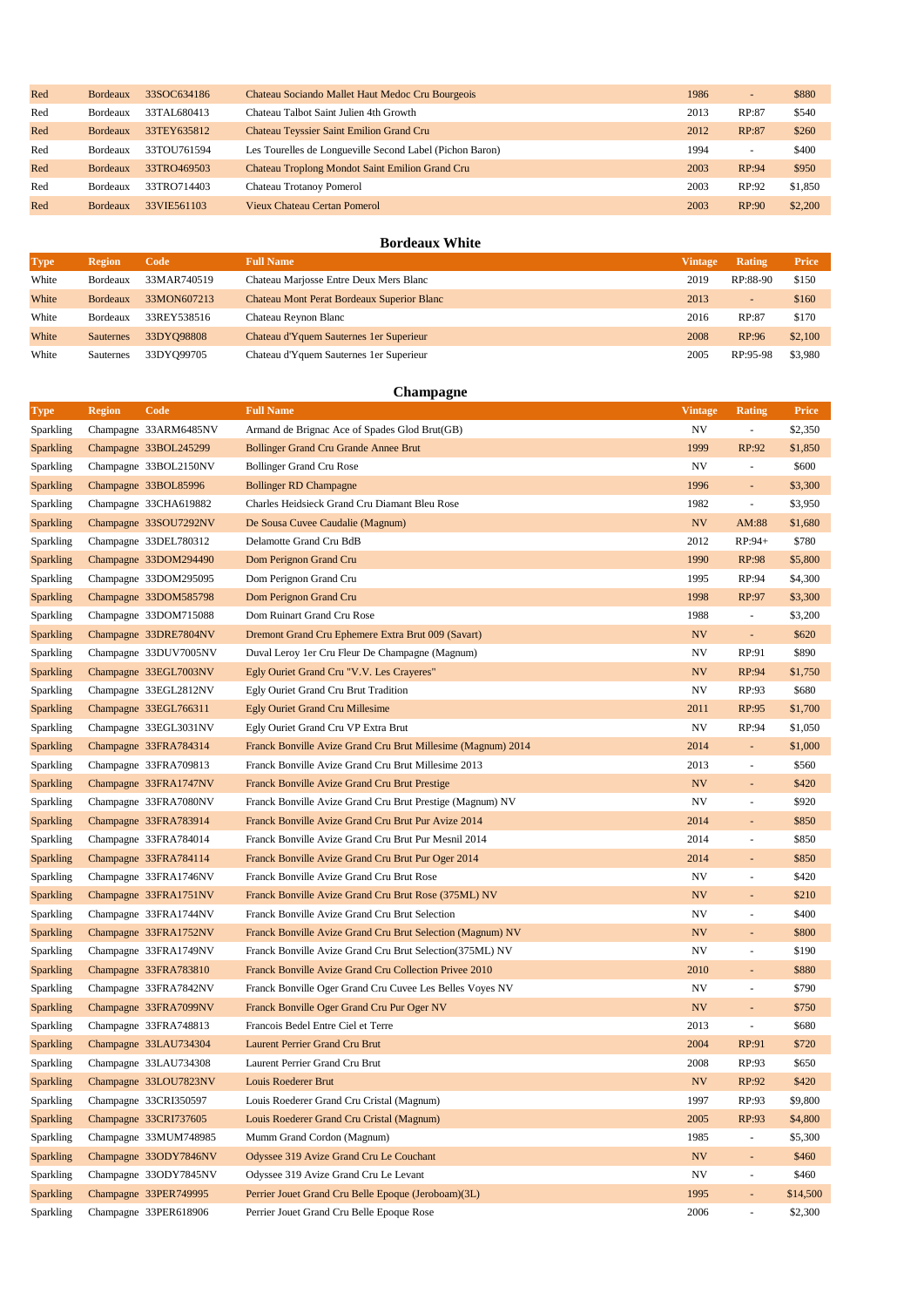| Red | <b>Bordeaux</b> | 33SOC634186 | Chateau Sociando Mallet Haut Medoc Cru Bourgeois         | 1986 | $\overline{\phantom{a}}$ | \$880   |
|-----|-----------------|-------------|----------------------------------------------------------|------|--------------------------|---------|
| Red | Bordeaux        | 33TAL680413 | Chateau Talbot Saint Julien 4th Growth                   | 2013 | RP:87                    | \$540   |
| Red | <b>Bordeaux</b> | 33TEY635812 | <b>Chateau Teyssier Saint Emilion Grand Cru</b>          | 2012 | RP:87                    | \$260   |
| Red | <b>Bordeaux</b> | 33TOU761594 | Les Tourelles de Longueville Second Label (Pichon Baron) | 1994 | $\overline{\phantom{a}}$ | \$400   |
| Red | <b>Bordeaux</b> | 33TRO469503 | Chateau Troplong Mondot Saint Emilion Grand Cru          | 2003 | RP:94                    | \$950   |
| Red | Bordeaux        | 33TRO714403 | Chateau Trotanoy Pomerol                                 | 2003 | RP:92                    | \$1,850 |
| Red | <b>Bordeaux</b> | 33VIE561103 | Vieux Chateau Certan Pomerol                             | 2003 | RP:90                    | \$2,200 |

# **Bordeaux White**

| <b>Type</b> | <b>Region</b>    | Code        | <b>Full Name</b>                                  | Vintage | Rating                   | Price   |
|-------------|------------------|-------------|---------------------------------------------------|---------|--------------------------|---------|
| White       | Bordeaux         | 33MAR740519 | Chateau Marjosse Entre Deux Mers Blanc            | 2019    | RP:88-90                 | \$150   |
| White       | <b>Bordeaux</b>  | 33MON607213 | <b>Chateau Mont Perat Bordeaux Superior Blanc</b> | 2013    | $\overline{\phantom{0}}$ | \$160   |
| White       | Bordeaux         | 33REY538516 | Chateau Reynon Blanc                              | 2016    | RP:87                    | \$170   |
| White       | <b>Sauternes</b> | 33DYO98808  | Chateau d'Yquem Sauternes 1 er Superieur          | 2008    | RP:96                    | \$2,100 |
| White       | Sauternes        | 33DY099705  | Chateau d'Yquem Sauternes 1 er Superieur          | 2005    | RP:95-98                 | \$3,980 |

# **Champagne**

| Type             | <b>Region</b> | Code                  | <b>Full Name</b>                                             | <b>Vintage</b> | Rating                   | <b>Price</b> |
|------------------|---------------|-----------------------|--------------------------------------------------------------|----------------|--------------------------|--------------|
| Sparkling        |               | Champagne 33ARM6485NV | Armand de Brignac Ace of Spades Glod Brut(GB)                | NV             | $\overline{\phantom{a}}$ | \$2,350      |
| <b>Sparkling</b> |               | Champagne 33BOL245299 | <b>Bollinger Grand Cru Grande Annee Brut</b>                 | 1999           | RP:92                    | \$1,850      |
| Sparkling        |               | Champagne 33BOL2150NV | <b>Bollinger Grand Cru Rose</b>                              | NV             | $\overline{\phantom{a}}$ | \$600        |
| <b>Sparkling</b> |               | Champagne 33BOL85996  | <b>Bollinger RD Champagne</b>                                | 1996           | ÷                        | \$3,300      |
| Sparkling        |               | Champagne 33CHA619882 | Charles Heidsieck Grand Cru Diamant Bleu Rose                | 1982           | ÷,                       | \$3,950      |
| <b>Sparkling</b> |               | Champagne 33SOU7292NV | De Sousa Cuvee Caudalie (Magnum)                             | NV             | AM:88                    | \$1,680      |
| Sparkling        |               | Champagne 33DEL780312 | Delamotte Grand Cru BdB                                      | 2012           | RP:94+                   | \$780        |
| <b>Sparkling</b> |               | Champagne 33DOM294490 | Dom Perignon Grand Cru                                       | 1990           | RP:98                    | \$5,800      |
| Sparkling        |               | Champagne 33DOM295095 | Dom Perignon Grand Cru                                       | 1995           | RP:94                    | \$4,300      |
| <b>Sparkling</b> |               | Champagne 33DOM585798 | Dom Perignon Grand Cru                                       | 1998           | RP:97                    | \$3,300      |
| Sparkling        |               | Champagne 33DOM715088 | Dom Ruinart Grand Cru Rose                                   | 1988           | ÷,                       | \$3,200      |
| <b>Sparkling</b> |               | Champagne 33DRE7804NV | Dremont Grand Cru Ephemere Extra Brut 009 (Savart)           | NV             | $\overline{\phantom{a}}$ | \$620        |
| Sparkling        |               | Champagne 33DUV7005NV | Duval Leroy 1 er Cru Fleur De Champagne (Magnum)             | NV             | RP:91                    | \$890        |
| <b>Sparkling</b> |               | Champagne 33EGL7003NV | Egly Ouriet Grand Cru "V.V. Les Crayeres"                    | NV             | RP:94                    | \$1,750      |
| Sparkling        |               | Champagne 33EGL2812NV | Egly Ouriet Grand Cru Brut Tradition                         | NV             | RP:93                    | \$680        |
| <b>Sparkling</b> |               | Champagne 33EGL766311 | Egly Ouriet Grand Cru Millesime                              | 2011           | RP:95                    | \$1,700      |
| Sparkling        |               | Champagne 33EGL3031NV | Egly Ouriet Grand Cru VP Extra Brut                          | <b>NV</b>      | RP:94                    | \$1,050      |
| <b>Sparkling</b> |               | Champagne 33FRA784314 | Franck Bonville Avize Grand Cru Brut Millesime (Magnum) 2014 | 2014           | $\overline{\phantom{a}}$ | \$1,000      |
| Sparkling        |               | Champagne 33FRA709813 | Franck Bonville Avize Grand Cru Brut Millesime 2013          | 2013           | ÷,                       | \$560        |
| <b>Sparkling</b> |               | Champagne 33FRA1747NV | Franck Bonville Avize Grand Cru Brut Prestige                | NV             | ÷                        | \$420        |
| Sparkling        |               | Champagne 33FRA7080NV | Franck Bonville Avize Grand Cru Brut Prestige (Magnum) NV    | <b>NV</b>      | ÷,                       | \$920        |
| <b>Sparkling</b> |               | Champagne 33FRA783914 | Franck Bonville Avize Grand Cru Brut Pur Avize 2014          | 2014           | ÷                        | \$850        |
| Sparkling        |               | Champagne 33FRA784014 | Franck Bonville Avize Grand Cru Brut Pur Mesnil 2014         | 2014           | ÷,                       | \$850        |
| <b>Sparkling</b> |               | Champagne 33FRA784114 | Franck Bonville Avize Grand Cru Brut Pur Oger 2014           | 2014           | $\blacksquare$           | \$850        |
| Sparkling        |               | Champagne 33FRA1746NV | Franck Bonville Avize Grand Cru Brut Rose                    | NV             | ÷,                       | \$420        |
| <b>Sparkling</b> |               | Champagne 33FRA1751NV | Franck Bonville Avize Grand Cru Brut Rose (375ML) NV         | NV             | ÷                        | \$210        |
| Sparkling        |               | Champagne 33FRA1744NV | Franck Bonville Avize Grand Cru Brut Selection               | NV             | ÷,                       | \$400        |
| <b>Sparkling</b> |               | Champagne 33FRA1752NV | Franck Bonville Avize Grand Cru Brut Selection (Magnum) NV   | NV             | ÷                        | \$800        |
| Sparkling        |               | Champagne 33FRA1749NV | Franck Bonville Avize Grand Cru Brut Selection (375ML) NV    | NV             | ÷,                       | \$190        |
| <b>Sparkling</b> |               | Champagne 33FRA783810 | Franck Bonville Avize Grand Cru Collection Privee 2010       | 2010           | ÷                        | \$880        |
| Sparkling        |               | Champagne 33FRA7842NV | Franck Bonville Oger Grand Cru Cuvee Les Belles Voyes NV     | NV             | ÷,                       | \$790        |
| <b>Sparkling</b> |               | Champagne 33FRA7099NV | Franck Bonville Oger Grand Cru Pur Oger NV                   | NV             | ÷                        | \$750        |
| Sparkling        |               | Champagne 33FRA748813 | Francois Bedel Entre Ciel et Terre                           | 2013           | $\overline{\phantom{a}}$ | \$680        |
| <b>Sparkling</b> |               | Champagne 33LAU734304 | Laurent Perrier Grand Cru Brut                               | 2004           | RP:91                    | \$720        |
| Sparkling        |               | Champagne 33LAU734308 | Laurent Perrier Grand Cru Brut                               | 2008           | RP:93                    | \$650        |
| <b>Sparkling</b> |               | Champagne 33LOU7823NV | Louis Roederer Brut                                          | <b>NV</b>      | RP:92                    | \$420        |
| Sparkling        |               | Champagne 33CRI350597 | Louis Roederer Grand Cru Cristal (Magnum)                    | 1997           | RP:93                    | \$9,800      |
| <b>Sparkling</b> |               | Champagne 33CRI737605 | Louis Roederer Grand Cru Cristal (Magnum)                    | 2005           | RP:93                    | \$4,800      |
| <b>Sparkling</b> |               | Champagne 33MUM748985 | Mumm Grand Cordon (Magnum)                                   | 1985           | $\overline{\phantom{a}}$ | \$5,300      |
| <b>Sparkling</b> |               | Champagne 33ODY7846NV | Odyssee 319 Avize Grand Cru Le Couchant                      | NV             | $\overline{\phantom{a}}$ | \$460        |
| <b>Sparkling</b> |               | Champagne 33ODY7845NV | Odyssee 319 Avize Grand Cru Le Levant                        | NV             | $\overline{\phantom{a}}$ | \$460        |
| <b>Sparkling</b> |               | Champagne 33PER749995 | Perrier Jouet Grand Cru Belle Epoque (Jeroboam)(3L)          | 1995           | $\overline{\phantom{a}}$ | \$14,500     |
| Sparkling        |               | Champagne 33PER618906 | Perrier Jouet Grand Cru Belle Epoque Rose                    | 2006           |                          | \$2,300      |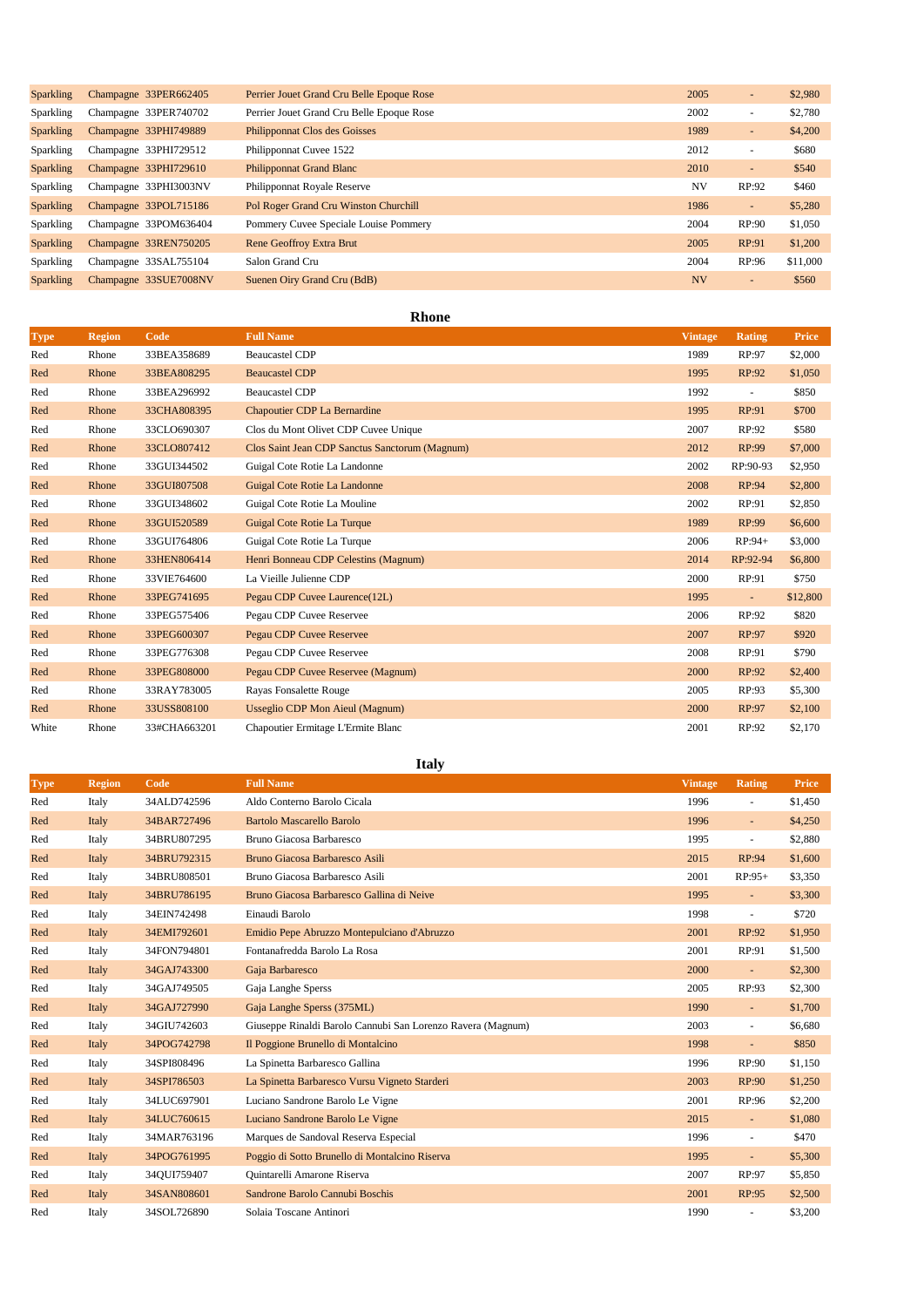| <b>Sparkling</b> | Champagne 33PER662405 | Perrier Jouet Grand Cru Belle Epoque Rose | 2005      | $\sim$                       | \$2,980  |
|------------------|-----------------------|-------------------------------------------|-----------|------------------------------|----------|
| <b>Sparkling</b> | Champagne 33PER740702 | Perrier Jouet Grand Cru Belle Epoque Rose | 2002      | ٠                            | \$2,780  |
| <b>Sparkling</b> | Champagne 33PHI749889 | <b>Philipponnat Clos des Goisses</b>      | 1989      | $\sim$                       | \$4,200  |
| <b>Sparkling</b> | Champagne 33PHI729512 | Philipponnat Cuvee 1522                   | 2012      | ٠                            | \$680    |
| <b>Sparkling</b> | Champagne 33PHI729610 | <b>Philipponnat Grand Blanc</b>           | 2010      | $\qquad \qquad \blacksquare$ | \$540    |
| Sparkling        | Champagne 33PHI3003NV | Philipponnat Royale Reserve               | <b>NV</b> | RP:92                        | \$460    |
| <b>Sparkling</b> | Champagne 33POL715186 | Pol Roger Grand Cru Winston Churchill     | 1986      | $\qquad \qquad \blacksquare$ | \$5,280  |
| Sparkling        | Champagne 33POM636404 | Pommery Cuvee Speciale Louise Pommery     | 2004      | RP:90                        | \$1,050  |
| <b>Sparkling</b> | Champagne 33REN750205 | <b>Rene Geoffroy Extra Brut</b>           | 2005      | RP:91                        | \$1,200  |
| Sparkling        | Champagne 33SAL755104 | Salon Grand Cru                           | 2004      | RP:96                        | \$11,000 |
| <b>Sparkling</b> | Champagne 33SUE7008NV | Suenen Oiry Grand Cru (BdB)               | <b>NV</b> | $\qquad \qquad \blacksquare$ | \$560    |

#### **Rhone**

| <b>Type</b> | <b>Region</b> | Code         | <b>Full Name</b>                               | <b>Vintage</b> | <b>Rating</b>            | Price    |
|-------------|---------------|--------------|------------------------------------------------|----------------|--------------------------|----------|
| Red         | Rhone         | 33BEA358689  | <b>Beaucastel CDP</b>                          | 1989           | RP:97                    | \$2,000  |
| Red         | Rhone         | 33BEA808295  | <b>Beaucastel CDP</b>                          | 1995           | RP:92                    | \$1,050  |
| Red         | Rhone         | 33BEA296992  | <b>Beaucastel CDP</b>                          | 1992           |                          | \$850    |
| Red         | Rhone         | 33CHA808395  | <b>Chapoutier CDP La Bernardine</b>            | 1995           | RP:91                    | \$700    |
| Red         | Rhone         | 33CLO690307  | Clos du Mont Olivet CDP Cuvee Unique           | 2007           | RP:92                    | \$580    |
| Red         | Rhone         | 33CLO807412  | Clos Saint Jean CDP Sanctus Sanctorum (Magnum) | 2012           | RP:99                    | \$7,000  |
| Red         | Rhone         | 33GUI344502  | Guigal Cote Rotie La Landonne                  | 2002           | RP:90-93                 | \$2,950  |
| Red         | Rhone         | 33GUI807508  | Guigal Cote Rotie La Landonne                  | 2008           | RP:94                    | \$2,800  |
| Red         | Rhone         | 33GUI348602  | Guigal Cote Rotie La Mouline                   | 2002           | RP:91                    | \$2,850  |
| Red         | Rhone         | 33GUI520589  | Guigal Cote Rotie La Turque                    | 1989           | RP:99                    | \$6,600  |
| Red         | Rhone         | 33GUI764806  | Guigal Cote Rotie La Turque                    | 2006           | $RP:94+$                 | \$3,000  |
| Red         | Rhone         | 33HEN806414  | Henri Bonneau CDP Celestins (Magnum)           | 2014           | RP:92-94                 | \$6,800  |
| Red         | Rhone         | 33VIE764600  | La Vieille Julienne CDP                        | 2000           | RP:91                    | \$750    |
| Red         | Rhone         | 33PEG741695  | Pegau CDP Cuvee Laurence(12L)                  | 1995           | $\overline{\phantom{a}}$ | \$12,800 |
| Red         | Rhone         | 33PEG575406  | Pegau CDP Cuvee Reservee                       | 2006           | RP:92                    | \$820    |
| Red         | Rhone         | 33PEG600307  | <b>Pegau CDP Cuvee Reservee</b>                | 2007           | RP:97                    | \$920    |
| Red         | Rhone         | 33PEG776308  | Pegau CDP Cuvee Reservee                       | 2008           | RP:91                    | \$790    |
| Red         | Rhone         | 33PEG808000  | Pegau CDP Cuvee Reservee (Magnum)              | 2000           | RP:92                    | \$2,400  |
| Red         | Rhone         | 33RAY783005  | <b>Rayas Fonsalette Rouge</b>                  | 2005           | RP:93                    | \$5,300  |
| Red         | Rhone         | 33USS808100  | <b>Usseglio CDP Mon Aieul (Magnum)</b>         | 2000           | RP:97                    | \$2,100  |
| White       | Rhone         | 33#CHA663201 | Chapoutier Ermitage L'Ermite Blanc             | 2001           | RP:92                    | \$2,170  |

**Italy**

| <b>Type</b> | <b>Region</b> | Code        | <b>Full Name</b>                                            | <b>Vintage</b> | <b>Rating</b>            | Price   |
|-------------|---------------|-------------|-------------------------------------------------------------|----------------|--------------------------|---------|
| Red         | Italy         | 34ALD742596 | Aldo Conterno Barolo Cicala                                 | 1996           | $\sim$                   | \$1,450 |
| Red         | Italy         | 34BAR727496 | <b>Bartolo Mascarello Barolo</b>                            | 1996           | $\overline{\phantom{a}}$ | \$4,250 |
| Red         | Italy         | 34BRU807295 | Bruno Giacosa Barbaresco                                    | 1995           | $\sim$                   | \$2,880 |
| Red         | Italy         | 34BRU792315 | Bruno Giacosa Barbaresco Asili                              | 2015           | RP:94                    | \$1,600 |
| Red         | Italy         | 34BRU808501 | Bruno Giacosa Barbaresco Asili                              | 2001           | $RP:95+$                 | \$3,350 |
| Red         | Italy         | 34BRU786195 | Bruno Giacosa Barbaresco Gallina di Neive                   | 1995           | $\blacksquare$           | \$3,300 |
| Red         | Italy         | 34EIN742498 | Einaudi Barolo                                              | 1998           | ÷,                       | \$720   |
| Red         | Italy         | 34EMI792601 | Emidio Pepe Abruzzo Montepulciano d'Abruzzo                 | 2001           | RP:92                    | \$1,950 |
| Red         | Italy         | 34FON794801 | Fontanafredda Barolo La Rosa                                | 2001           | RP:91                    | \$1,500 |
| Red         | Italy         | 34GAJ743300 | Gaja Barbaresco                                             | 2000           | $\sim$                   | \$2,300 |
| Red         | Italy         | 34GAJ749505 | Gaja Langhe Sperss                                          | 2005           | RP:93                    | \$2,300 |
| Red         | Italy         | 34GAJ727990 | Gaja Langhe Sperss (375ML)                                  | 1990           | $\overline{\phantom{a}}$ | \$1,700 |
| Red         | Italy         | 34GIU742603 | Giuseppe Rinaldi Barolo Cannubi San Lorenzo Ravera (Magnum) | 2003           | $\sim$                   | \$6,680 |
| Red         | Italy         | 34POG742798 | Il Poggione Brunello di Montalcino                          | 1998           | $\overline{\phantom{a}}$ | \$850   |
| Red         | Italy         | 34SPI808496 | La Spinetta Barbaresco Gallina                              | 1996           | RP:90                    | \$1,150 |
| Red         | Italy         | 34SPI786503 | La Spinetta Barbaresco Vursu Vigneto Starderi               | 2003           | RP:90                    | \$1,250 |
| Red         | Italy         | 34LUC697901 | Luciano Sandrone Barolo Le Vigne                            | 2001           | RP:96                    | \$2,200 |
| Red         | Italy         | 34LUC760615 | Luciano Sandrone Barolo Le Vigne                            | 2015           | $\overline{\phantom{a}}$ | \$1,080 |
| Red         | Italy         | 34MAR763196 | Marques de Sandoval Reserva Especial                        | 1996           | $\blacksquare$           | \$470   |
| Red         | Italy         | 34POG761995 | Poggio di Sotto Brunello di Montalcino Riserva              | 1995           | $\overline{\phantom{a}}$ | \$5,300 |
| Red         | Italy         | 34QUI759407 | Quintarelli Amarone Riserva                                 | 2007           | RP:97                    | \$5,850 |
| Red         | Italy         | 34SAN808601 | Sandrone Barolo Cannubi Boschis                             | 2001           | RP:95                    | \$2,500 |
| Red         | Italy         | 34SOL726890 | Solaia Toscane Antinori                                     | 1990           |                          | \$3,200 |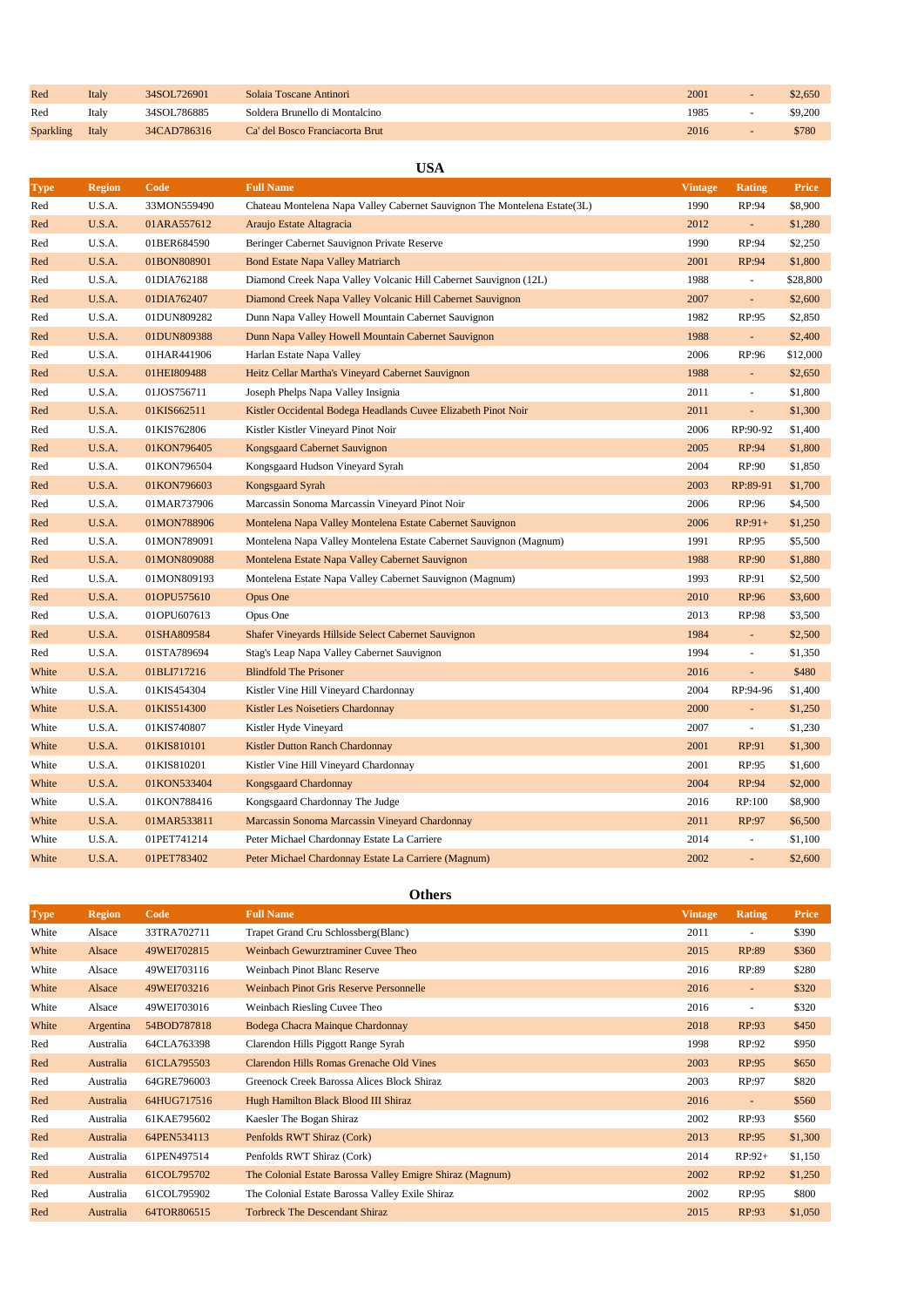| Red              | Italy | 34SOL726901 | Solaia Toscane Antinori         | 200  | \$2,650 |
|------------------|-------|-------------|---------------------------------|------|---------|
| Red              | Italy | 34SOL786885 | Soldera Brunello di Montalcino  | 1985 | \$9,200 |
| <b>Sparkling</b> | Italy | 34CAD786316 | Ca' del Bosco Franciacorta Brut | 2016 | \$780   |

# **USA**

| <b>Type</b> | <b>Region</b> | Code        | <b>Full Name</b>                                                           | <b>Vintage</b> | <b>Rating</b>            | <b>Price</b> |
|-------------|---------------|-------------|----------------------------------------------------------------------------|----------------|--------------------------|--------------|
| Red         | U.S.A.        | 33MON559490 | Chateau Montelena Napa Valley Cabernet Sauvignon The Montelena Estate (3L) | 1990           | RP:94                    | \$8,900      |
| Red         | U.S.A.        | 01ARA557612 | Araujo Estate Altagracia                                                   | 2012           | $\omega$                 | \$1,280      |
| Red         | U.S.A.        | 01BER684590 | Beringer Cabernet Sauvignon Private Reserve                                | 1990           | RP:94                    | \$2,250      |
| Red         | U.S.A.        | 01BON808901 | <b>Bond Estate Napa Valley Matriarch</b>                                   | 2001           | RP:94                    | \$1,800      |
| Red         | U.S.A.        | 01DIA762188 | Diamond Creek Napa Valley Volcanic Hill Cabernet Sauvignon (12L)           | 1988           | $\blacksquare$           | \$28,800     |
| Red         | U.S.A.        | 01DIA762407 | Diamond Creek Napa Valley Volcanic Hill Cabernet Sauvignon                 | 2007           | ÷                        | \$2,600      |
| Red         | U.S.A.        | 01DUN809282 | Dunn Napa Valley Howell Mountain Cabernet Sauvignon                        | 1982           | RP:95                    | \$2,850      |
| Red         | U.S.A.        | 01DUN809388 | Dunn Napa Valley Howell Mountain Cabernet Sauvignon                        | 1988           | $\Box$                   | \$2,400      |
| Red         | U.S.A.        | 01HAR441906 | Harlan Estate Napa Valley                                                  | 2006           | RP:96                    | \$12,000     |
| Red         | U.S.A.        | 01HEI809488 | Heitz Cellar Martha's Vineyard Cabernet Sauvignon                          | 1988           | $\overline{\phantom{a}}$ | \$2,650      |
| Red         | U.S.A.        | 01JOS756711 | Joseph Phelps Napa Valley Insignia                                         | 2011           | $\overline{\phantom{a}}$ | \$1,800      |
| Red         | U.S.A.        | 01KIS662511 | Kistler Occidental Bodega Headlands Cuvee Elizabeth Pinot Noir             | 2011           | $\blacksquare$           | \$1,300      |
| Red         | U.S.A.        | 01KIS762806 | Kistler Kistler Vineyard Pinot Noir                                        | 2006           | RP:90-92                 | \$1,400      |
| Red         | U.S.A.        | 01KON796405 | Kongsgaard Cabernet Sauvignon                                              | 2005           | RP:94                    | \$1,800      |
| Red         | U.S.A.        | 01KON796504 | Kongsgaard Hudson Vineyard Syrah                                           | 2004           | RP:90                    | \$1,850      |
| Red         | U.S.A.        | 01KON796603 | Kongsgaard Syrah                                                           | 2003           | RP:89-91                 | \$1,700      |
| Red         | U.S.A.        | 01MAR737906 | Marcassin Sonoma Marcassin Vineyard Pinot Noir                             | 2006           | RP:96                    | \$4,500      |
| Red         | U.S.A.        | 01MON788906 | Montelena Napa Valley Montelena Estate Cabernet Sauvignon                  | 2006           | $RP:91+$                 | \$1,250      |
| Red         | U.S.A.        | 01MON789091 | Montelena Napa Valley Montelena Estate Cabernet Sauvignon (Magnum)         | 1991           | RP:95                    | \$5,500      |
| Red         | U.S.A.        | 01MON809088 | Montelena Estate Napa Valley Cabernet Sauvignon                            | 1988           | RP:90                    | \$1,880      |
| Red         | U.S.A.        | 01MON809193 | Montelena Estate Napa Valley Cabernet Sauvignon (Magnum)                   | 1993           | RP:91                    | \$2,500      |
| Red         | U.S.A.        | 01OPU575610 | Opus One                                                                   | 2010           | RP:96                    | \$3,600      |
| Red         | U.S.A.        | 01OPU607613 | Opus One                                                                   | 2013           | RP:98                    | \$3,500      |
| Red         | U.S.A.        | 01SHA809584 | Shafer Vineyards Hillside Select Cabernet Sauvignon                        | 1984           | $\blacksquare$           | \$2,500      |
| Red         | U.S.A.        | 01STA789694 | Stag's Leap Napa Valley Cabernet Sauvignon                                 | 1994           | $\overline{\phantom{a}}$ | \$1,350      |
| White       | U.S.A.        | 01BLI717216 | <b>Blindfold The Prisoner</b>                                              | 2016           | $\omega$                 | \$480        |
| White       | U.S.A.        | 01KIS454304 | Kistler Vine Hill Vineyard Chardonnay                                      | 2004           | RP:94-96                 | \$1,400      |
| White       | U.S.A.        | 01KIS514300 | Kistler Les Noisetiers Chardonnay                                          | 2000           | ÷,                       | \$1,250      |
| White       | U.S.A.        | 01KIS740807 | Kistler Hyde Vineyard                                                      | 2007           | $\blacksquare$           | \$1,230      |
| White       | U.S.A.        | 01KIS810101 | Kistler Dutton Ranch Chardonnay                                            | 2001           | RP:91                    | \$1,300      |
| White       | U.S.A.        | 01KIS810201 | Kistler Vine Hill Vineyard Chardonnay                                      | 2001           | RP:95                    | \$1,600      |
| White       | U.S.A.        | 01KON533404 | Kongsgaard Chardonnay                                                      | 2004           | RP:94                    | \$2,000      |
| White       | U.S.A.        | 01KON788416 | Kongsgaard Chardonnay The Judge                                            | 2016           | RP:100                   | \$8,900      |
| White       | U.S.A.        | 01MAR533811 | Marcassin Sonoma Marcassin Vineyard Chardonnay                             | 2011           | RP:97                    | \$6,500      |
| White       | U.S.A.        | 01PET741214 | Peter Michael Chardonnay Estate La Carriere                                | 2014           | $\overline{\phantom{a}}$ | \$1,100      |
| White       | U.S.A.        | 01PET783402 | Peter Michael Chardonnay Estate La Carriere (Magnum)                       | 2002           |                          | \$2,600      |

# **Others**

| <b>Type</b> | <b>Region</b> | Code        | <b>Full Name</b>                                          | <b>Vintage</b> | Rating                   | <b>Price</b> |
|-------------|---------------|-------------|-----------------------------------------------------------|----------------|--------------------------|--------------|
| White       | Alsace        | 33TRA702711 | Trapet Grand Cru Schlossberg(Blanc)                       | 2011           | $\overline{\phantom{a}}$ | \$390        |
| White       | Alsace        | 49WEI702815 | Weinbach Gewurztraminer Cuvee Theo                        | 2015           | RP:89                    | \$360        |
| White       | Alsace        | 49WEI703116 | Weinbach Pinot Blanc Reserve                              | 2016           | RP:89                    | \$280        |
| White       | Alsace        | 49WEI703216 | Weinbach Pinot Gris Reserve Personnelle                   | 2016           | $\sim$                   | \$320        |
| White       | Alsace        | 49WEI703016 | Weinbach Riesling Cuvee Theo                              | 2016           | $\sim$                   | \$320        |
| White       | Argentina     | 54BOD787818 | Bodega Chacra Mainque Chardonnay                          | 2018           | RP:93                    | \$450        |
| Red         | Australia     | 64CLA763398 | Clarendon Hills Piggott Range Syrah                       | 1998           | RP:92                    | \$950        |
| Red         | Australia     | 61CLA795503 | Clarendon Hills Romas Grenache Old Vines                  | 2003           | RP:95                    | \$650        |
| Red         | Australia     | 64GRE796003 | Greenock Creek Barossa Alices Block Shiraz                | 2003           | RP:97                    | \$820        |
| Red         | Australia     | 64HUG717516 | Hugh Hamilton Black Blood III Shiraz                      | 2016           | $\overline{\phantom{a}}$ | \$560        |
| Red         | Australia     | 61KAE795602 | Kaesler The Bogan Shiraz                                  | 2002           | RP:93                    | \$560        |
| Red         | Australia     | 64PEN534113 | Penfolds RWT Shiraz (Cork)                                | 2013           | RP:95                    | \$1,300      |
| Red         | Australia     | 61PEN497514 | Penfolds RWT Shiraz (Cork)                                | 2014           | $RP:92+$                 | \$1,150      |
| Red         | Australia     | 61COL795702 | The Colonial Estate Barossa Valley Emigre Shiraz (Magnum) | 2002           | RP:92                    | \$1,250      |
| Red         | Australia     | 61COL795902 | The Colonial Estate Barossa Valley Exile Shiraz           | 2002           | RP:95                    | \$800        |
| Red         | Australia     | 64TOR806515 | <b>Torbreck The Descendant Shiraz</b>                     | 2015           | RP:93                    | \$1,050      |